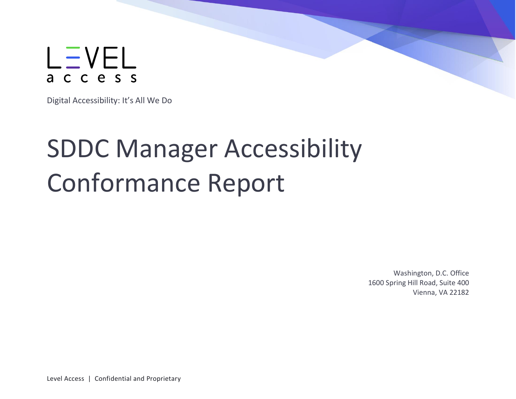

Digital Accessibility: It's All We Do

# SDDC Manager Accessibility Conformance Report

Washington, D.C. Office 1600 Spring Hill Road, Suite 400 Vienna, VA 22182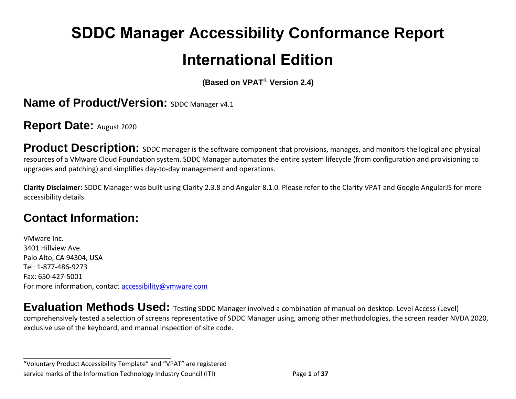# **SDDC Manager Accessibility Conformance Report International Edition**

**(Based on VPAT**® **Version 2.4)**

**Name of Product/Version: SDDC Manager v4.1** 

**Report Date:** August 2020

**Product Description:** SDDC manager is the software component that provisions, manages, and monitors the logical and physical resources of a VMware Cloud Foundation system. SDDC Manager automates the entire system lifecycle (from configuration and provisioning to upgrades and patching) and simplifies day-to-day management and operations.

**Clarity Disclaimer:** SDDC Manager was built using Clarity 2.3.8 and Angular 8.1.0. Please refer to the Clarity VPAT and Google AngularJS for more accessibility details.

# **Contact Information:**

VMware Inc. 3401 Hillview Ave. Palo Alto, CA 94304, USA Tel: 1-877-486-9273 Fax: 650-427-5001 For more information, contact [accessibility@vmware.com](mailto:accessibility@vmware.com)

**Evaluation Methods Used:** Testing SDDC Manager involved a combination of manual on desktop. Level Access (Level) comprehensively tested a selection of screens representative of SDDC Manager using, among other methodologies, the screen reader NVDA 2020, exclusive use of the keyboard, and manual inspection of site code.

"Voluntary Product Accessibility Template" and "VPAT" are registered service marks of the Information Technology Industry Council (ITI) Page **1** of **37**

**\_\_\_\_\_\_\_\_\_\_\_\_\_\_\_\_\_\_\_\_\_\_\_\_\_\_\_\_\_\_\_\_\_\_**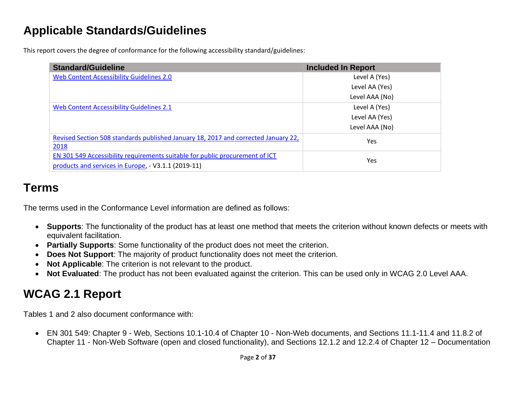# **Applicable Standards/Guidelines**

This report covers the degree of conformance for the following accessibility standard/guidelines:

| <b>Standard/Guideline</b>                                                          | <b>Included In Report</b> |
|------------------------------------------------------------------------------------|---------------------------|
| Web Content Accessibility Guidelines 2.0                                           | Level A (Yes)             |
|                                                                                    | Level AA (Yes)            |
|                                                                                    | Level AAA (No)            |
| <b>Web Content Accessibility Guidelines 2.1</b>                                    | Level A (Yes)             |
|                                                                                    | Level AA (Yes)            |
|                                                                                    | Level AAA (No)            |
| Revised Section 508 standards published January 18, 2017 and corrected January 22, | Yes                       |
| 2018                                                                               |                           |
| EN 301 549 Accessibility requirements suitable for public procurement of ICT       | Yes                       |
| products and services in Europe, - V3.1.1 (2019-11)                                |                           |

# **Terms**

The terms used in the Conformance Level information are defined as follows:

- **Supports**: The functionality of the product has at least one method that meets the criterion without known defects or meets with equivalent facilitation.
- **Partially Supports**: Some functionality of the product does not meet the criterion.
- **Does Not Support**: The majority of product functionality does not meet the criterion.
- **Not Applicable**: The criterion is not relevant to the product.
- **Not Evaluated**: The product has not been evaluated against the criterion. This can be used only in WCAG 2.0 Level AAA.

# <span id="page-2-0"></span>**WCAG 2.1 Report**

Tables 1 and 2 also document conformance with:

• EN 301 549: Chapter 9 - Web, Sections 10.1-10.4 of Chapter 10 - Non-Web documents, and Sections 11.1-11.4 and 11.8.2 of Chapter 11 - Non-Web Software (open and closed functionality), and Sections 12.1.2 and 12.2.4 of Chapter 12 – Documentation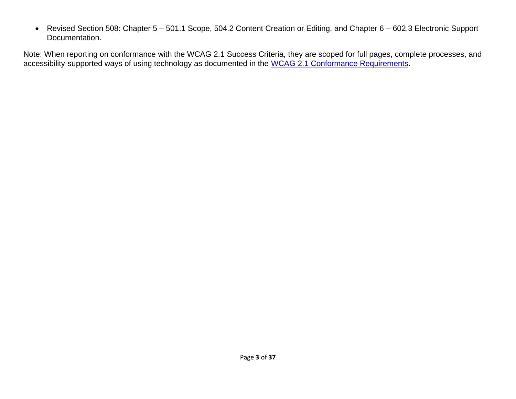• Revised Section 508: Chapter 5 – 501.1 Scope, 504.2 Content Creation or Editing, and Chapter 6 – 602.3 Electronic Support Documentation.

Note: When reporting on conformance with the WCAG 2.1 Success Criteria, they are scoped for full pages, complete processes, and accessibility-supported ways of using technology as documented in the WCAG 2.1 [Conformance Requirements.](https://www.w3.org/TR/WCAG20/#conformance-reqs)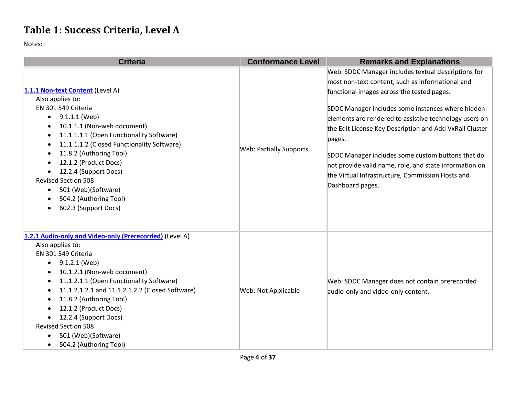# **Table 1: Success Criteria, Level A**

| <b>Criteria</b>                                                                                                                                                                                                                                                                                                                                                                                                                                       | <b>Conformance Level</b>       | <b>Remarks and Explanations</b>                                                                                                                                                                                                                                                                                                                                                                                                                                                                                                  |
|-------------------------------------------------------------------------------------------------------------------------------------------------------------------------------------------------------------------------------------------------------------------------------------------------------------------------------------------------------------------------------------------------------------------------------------------------------|--------------------------------|----------------------------------------------------------------------------------------------------------------------------------------------------------------------------------------------------------------------------------------------------------------------------------------------------------------------------------------------------------------------------------------------------------------------------------------------------------------------------------------------------------------------------------|
| 1.1.1 Non-text Content (Level A)<br>Also applies to:<br>EN 301 549 Criteria<br>9.1.1.1 (Web)<br>$\bullet$<br>10.1.1.1 (Non-web document)<br>11.1.1.1.1 (Open Functionality Software)<br>٠<br>11.1.1.1.2 (Closed Functionality Software)<br>$\bullet$<br>11.8.2 (Authoring Tool)<br>12.1.2 (Product Docs)<br>12.2.4 (Support Docs)<br><b>Revised Section 508</b><br>501 (Web)(Software)<br>$\bullet$<br>504.2 (Authoring Tool)<br>602.3 (Support Docs) | <b>Web: Partially Supports</b> | Web: SDDC Manager includes textual descriptions for<br>most non-text content, such as informational and<br>functional images across the tested pages.<br>SDDC Manager includes some instances where hidden<br>elements are rendered to assistive technology users on<br>the Edit License Key Description and Add VxRail Cluster<br>pages.<br>SDDC Manager includes some custom buttons that do<br>not provide valid name, role, and state information on<br>the Virtual Infrastructure, Commission Hosts and<br>Dashboard pages. |
| 1.2.1 Audio-only and Video-only (Prerecorded) (Level A)<br>Also applies to:<br>EN 301 549 Criteria<br>9.1.2.1 (Web)<br>$\bullet$<br>10.1.2.1 (Non-web document)<br>11.1.2.1.1 (Open Functionality Software)<br>٠<br>11.1.2.1.2.1 and 11.1.2.1.2.2 (Closed Software)<br>٠<br>11.8.2 (Authoring Tool)<br>12.1.2 (Product Docs)<br>12.2.4 (Support Docs)<br><b>Revised Section 508</b><br>501 (Web)(Software)<br>504.2 (Authoring Tool)<br>$\bullet$     | Web: Not Applicable            | Web: SDDC Manager does not contain prerecorded<br>audio-only and video-only content.                                                                                                                                                                                                                                                                                                                                                                                                                                             |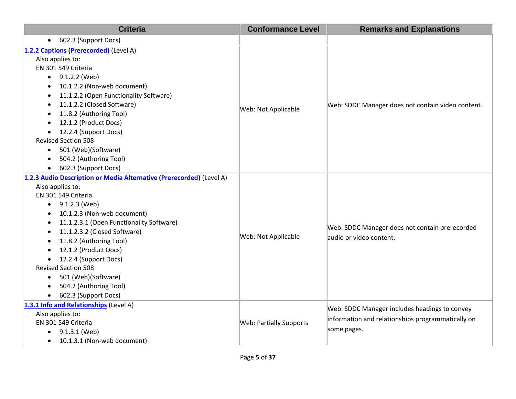| <b>Criteria</b>                                                                                                                                                                                                                                                                                                                                                                                                                                                                               | <b>Conformance Level</b>       | <b>Remarks and Explanations</b>                                                                                   |
|-----------------------------------------------------------------------------------------------------------------------------------------------------------------------------------------------------------------------------------------------------------------------------------------------------------------------------------------------------------------------------------------------------------------------------------------------------------------------------------------------|--------------------------------|-------------------------------------------------------------------------------------------------------------------|
| 602.3 (Support Docs)<br>$\bullet$                                                                                                                                                                                                                                                                                                                                                                                                                                                             |                                |                                                                                                                   |
| 1.2.2 Captions (Prerecorded) (Level A)<br>Also applies to:<br>EN 301 549 Criteria<br>$\bullet$ 9.1.2.2 (Web)<br>10.1.2.2 (Non-web document)<br>$\bullet$<br>11.1.2.2 (Open Functionality Software)<br>11.1.2.2 (Closed Software)<br>11.8.2 (Authoring Tool)<br>12.1.2 (Product Docs)<br>12.2.4 (Support Docs)<br>$\bullet$<br><b>Revised Section 508</b><br>501 (Web)(Software)<br>$\bullet$<br>504.2 (Authoring Tool)<br>$\bullet$<br>602.3 (Support Docs)                                   | Web: Not Applicable            | Web: SDDC Manager does not contain video content.                                                                 |
| 1.2.3 Audio Description or Media Alternative (Prerecorded) (Level A)<br>Also applies to:<br>EN 301 549 Criteria<br>9.1.2.3 (Web)<br>٠<br>10.1.2.3 (Non-web document)<br>11.1.2.3.1 (Open Functionality Software)<br>$\bullet$<br>11.1.2.3.2 (Closed Software)<br>$\bullet$<br>11.8.2 (Authoring Tool)<br>12.1.2 (Product Docs)<br>12.2.4 (Support Docs)<br>٠<br><b>Revised Section 508</b><br>501 (Web)(Software)<br>$\bullet$<br>504.2 (Authoring Tool)<br>602.3 (Support Docs)<br>$\bullet$ | Web: Not Applicable            | Web: SDDC Manager does not contain prerecorded<br>audio or video content.                                         |
| 1.3.1 Info and Relationships (Level A)<br>Also applies to:<br>EN 301 549 Criteria<br>9.1.3.1 (Web)<br>$\bullet$<br>10.1.3.1 (Non-web document)<br>$\bullet$                                                                                                                                                                                                                                                                                                                                   | <b>Web: Partially Supports</b> | Web: SDDC Manager includes headings to convey<br>information and relationships programmatically on<br>some pages. |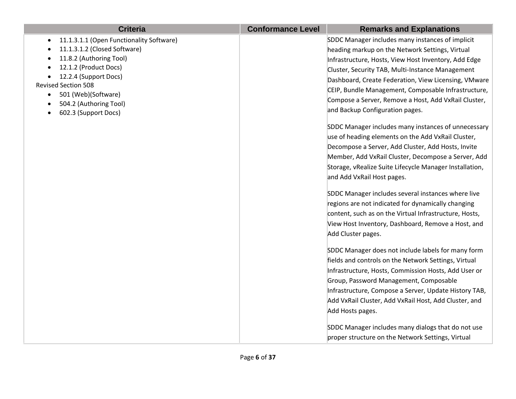| <b>Criteria</b>                                       | <b>Conformance Level</b> | <b>Remarks and Explanations</b>                         |
|-------------------------------------------------------|--------------------------|---------------------------------------------------------|
| 11.1.3.1.1 (Open Functionality Software)<br>$\bullet$ |                          | SDDC Manager includes many instances of implicit        |
| 11.1.3.1.2 (Closed Software)                          |                          | heading markup on the Network Settings, Virtual         |
| 11.8.2 (Authoring Tool)                               |                          | Infrastructure, Hosts, View Host Inventory, Add Edge    |
| 12.1.2 (Product Docs)                                 |                          | Cluster, Security TAB, Multi-Instance Management        |
| 12.2.4 (Support Docs)<br><b>Revised Section 508</b>   |                          | Dashboard, Create Federation, View Licensing, VMware    |
| 501 (Web)(Software)<br>$\bullet$                      |                          | CEIP, Bundle Management, Composable Infrastructure,     |
| 504.2 (Authoring Tool)                                |                          | Compose a Server, Remove a Host, Add VxRail Cluster,    |
| 602.3 (Support Docs)                                  |                          | and Backup Configuration pages.                         |
|                                                       |                          | SDDC Manager includes many instances of unnecessary     |
|                                                       |                          | use of heading elements on the Add VxRail Cluster,      |
|                                                       |                          | Decompose a Server, Add Cluster, Add Hosts, Invite      |
|                                                       |                          | Member, Add VxRail Cluster, Decompose a Server, Add     |
|                                                       |                          | Storage, vRealize Suite Lifecycle Manager Installation, |
|                                                       |                          | and Add VxRail Host pages.                              |
|                                                       |                          | SDDC Manager includes several instances where live      |
|                                                       |                          | regions are not indicated for dynamically changing      |
|                                                       |                          | content, such as on the Virtual Infrastructure, Hosts,  |
|                                                       |                          | View Host Inventory, Dashboard, Remove a Host, and      |
|                                                       |                          | Add Cluster pages.                                      |
|                                                       |                          | SDDC Manager does not include labels for many form      |
|                                                       |                          | fields and controls on the Network Settings, Virtual    |
|                                                       |                          | Infrastructure, Hosts, Commission Hosts, Add User or    |
|                                                       |                          | Group, Password Management, Composable                  |
|                                                       |                          | Infrastructure, Compose a Server, Update History TAB,   |
|                                                       |                          | Add VxRail Cluster, Add VxRail Host, Add Cluster, and   |
|                                                       |                          | Add Hosts pages.                                        |
|                                                       |                          | SDDC Manager includes many dialogs that do not use      |
|                                                       |                          | proper structure on the Network Settings, Virtual       |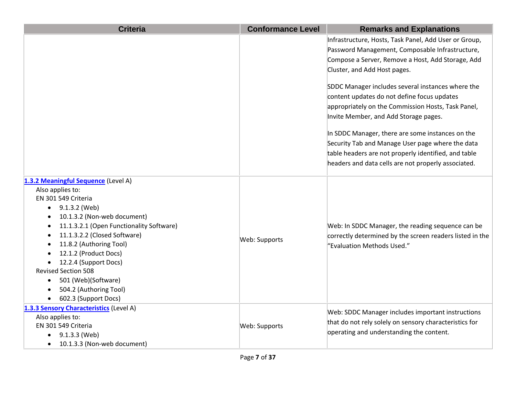| <b>Criteria</b>                                                         | <b>Conformance Level</b> | <b>Remarks and Explanations</b>                                                        |
|-------------------------------------------------------------------------|--------------------------|----------------------------------------------------------------------------------------|
|                                                                         |                          | Infrastructure, Hosts, Task Panel, Add User or Group,                                  |
|                                                                         |                          | Password Management, Composable Infrastructure,                                        |
|                                                                         |                          | Compose a Server, Remove a Host, Add Storage, Add                                      |
|                                                                         |                          | Cluster, and Add Host pages.                                                           |
|                                                                         |                          | SDDC Manager includes several instances where the                                      |
|                                                                         |                          | content updates do not define focus updates                                            |
|                                                                         |                          | appropriately on the Commission Hosts, Task Panel,                                     |
|                                                                         |                          | Invite Member, and Add Storage pages.                                                  |
|                                                                         |                          | In SDDC Manager, there are some instances on the                                       |
|                                                                         |                          | Security Tab and Manage User page where the data                                       |
|                                                                         |                          | table headers are not properly identified, and table                                   |
|                                                                         |                          | headers and data cells are not properly associated.                                    |
|                                                                         |                          |                                                                                        |
| 1.3.2 Meaningful Sequence (Level A)                                     |                          |                                                                                        |
| Also applies to:                                                        |                          |                                                                                        |
| EN 301 549 Criteria                                                     |                          |                                                                                        |
| 9.1.3.2 (Web)                                                           |                          |                                                                                        |
| 10.1.3.2 (Non-web document)<br>11.1.3.2.1 (Open Functionality Software) |                          |                                                                                        |
| 11.1.3.2.2 (Closed Software)                                            |                          | Web: In SDDC Manager, the reading sequence can be                                      |
| 11.8.2 (Authoring Tool)                                                 | Web: Supports            | correctly determined by the screen readers listed in the<br>"Evaluation Methods Used." |
| 12.1.2 (Product Docs)                                                   |                          |                                                                                        |
| 12.2.4 (Support Docs)                                                   |                          |                                                                                        |
| <b>Revised Section 508</b>                                              |                          |                                                                                        |
| 501 (Web)(Software)                                                     |                          |                                                                                        |
| 504.2 (Authoring Tool)                                                  |                          |                                                                                        |
| 602.3 (Support Docs)                                                    |                          |                                                                                        |
| 1.3.3 Sensory Characteristics (Level A)                                 |                          |                                                                                        |
| Also applies to:                                                        |                          | Web: SDDC Manager includes important instructions                                      |
| EN 301 549 Criteria                                                     | Web: Supports            | that do not rely solely on sensory characteristics for                                 |
| 9.1.3.3 (Web)                                                           |                          | operating and understanding the content.                                               |
| 10.1.3.3 (Non-web document)<br>$\bullet$                                |                          |                                                                                        |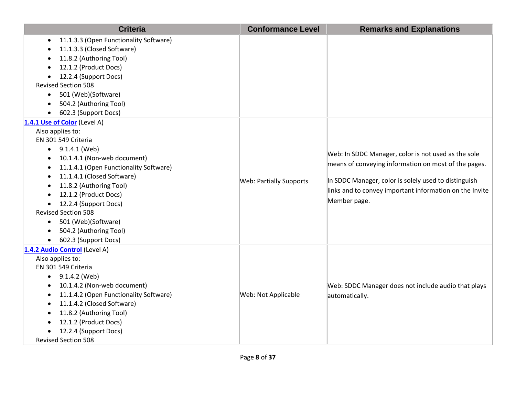| <b>Criteria</b>                                                                                                                                                                                                                                                                                                                                                                                                                                                             | <b>Conformance Level</b>       | <b>Remarks and Explanations</b>                                                                                                                                                                                                                |
|-----------------------------------------------------------------------------------------------------------------------------------------------------------------------------------------------------------------------------------------------------------------------------------------------------------------------------------------------------------------------------------------------------------------------------------------------------------------------------|--------------------------------|------------------------------------------------------------------------------------------------------------------------------------------------------------------------------------------------------------------------------------------------|
| 11.1.3.3 (Open Functionality Software)<br>$\bullet$<br>11.1.3.3 (Closed Software)<br>11.8.2 (Authoring Tool)<br>12.1.2 (Product Docs)<br>12.2.4 (Support Docs)<br>$\bullet$<br><b>Revised Section 508</b><br>• 501 (Web)(Software)<br>504.2 (Authoring Tool)<br>602.3 (Support Docs)                                                                                                                                                                                        |                                |                                                                                                                                                                                                                                                |
| 1.4.1 Use of Color (Level A)<br>Also applies to:<br>EN 301 549 Criteria<br>$\bullet$ 9.1.4.1 (Web)<br>10.1.4.1 (Non-web document)<br>$\bullet$<br>11.1.4.1 (Open Functionality Software)<br>$\bullet$<br>11.1.4.1 (Closed Software)<br>$\bullet$<br>11.8.2 (Authoring Tool)<br>12.1.2 (Product Docs)<br>12.2.4 (Support Docs)<br><b>Revised Section 508</b><br>501 (Web)(Software)<br>$\bullet$<br>504.2 (Authoring Tool)<br>$\bullet$<br>602.3 (Support Docs)<br>$\bullet$ | <b>Web: Partially Supports</b> | Web: In SDDC Manager, color is not used as the sole<br>means of conveying information on most of the pages.<br>In SDDC Manager, color is solely used to distinguish<br>links and to convey important information on the Invite<br>Member page. |
| 1.4.2 Audio Control (Level A)<br>Also applies to:<br>EN 301 549 Criteria<br>9.1.4.2 (Web)<br>$\bullet$<br>10.1.4.2 (Non-web document)<br>11.1.4.2 (Open Functionality Software)<br>11.1.4.2 (Closed Software)<br>11.8.2 (Authoring Tool)<br>12.1.2 (Product Docs)<br>12.2.4 (Support Docs)<br><b>Revised Section 508</b>                                                                                                                                                    | Web: Not Applicable            | Web: SDDC Manager does not include audio that plays<br>automatically.                                                                                                                                                                          |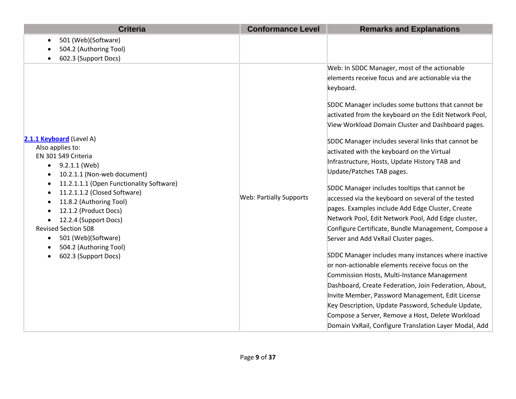| <b>Criteria</b>                                                                                                                                                                                                                                                                                                                                                                                                            | <b>Conformance Level</b>       | <b>Remarks and Explanations</b>                                                                                                                                                                                                                                                                                                                                                                                                                                                                                                                                                                                                                                                                                                                                                                                                                                                                                                                                                                                                                                                                                                                                                                                              |
|----------------------------------------------------------------------------------------------------------------------------------------------------------------------------------------------------------------------------------------------------------------------------------------------------------------------------------------------------------------------------------------------------------------------------|--------------------------------|------------------------------------------------------------------------------------------------------------------------------------------------------------------------------------------------------------------------------------------------------------------------------------------------------------------------------------------------------------------------------------------------------------------------------------------------------------------------------------------------------------------------------------------------------------------------------------------------------------------------------------------------------------------------------------------------------------------------------------------------------------------------------------------------------------------------------------------------------------------------------------------------------------------------------------------------------------------------------------------------------------------------------------------------------------------------------------------------------------------------------------------------------------------------------------------------------------------------------|
| 501 (Web)(Software)<br>$\bullet$<br>504.2 (Authoring Tool)<br>602.3 (Support Docs)                                                                                                                                                                                                                                                                                                                                         |                                |                                                                                                                                                                                                                                                                                                                                                                                                                                                                                                                                                                                                                                                                                                                                                                                                                                                                                                                                                                                                                                                                                                                                                                                                                              |
| 2.1.1 Keyboard (Level A)<br>Also applies to:<br>EN 301 549 Criteria<br>9.2.1.1 (Web)<br>$\bullet$<br>10.2.1.1 (Non-web document)<br>11.2.1.1.1 (Open Functionality Software)<br>11.2.1.1.2 (Closed Software)<br>11.8.2 (Authoring Tool)<br>12.1.2 (Product Docs)<br>12.2.4 (Support Docs)<br><b>Revised Section 508</b><br>501 (Web)(Software)<br>$\bullet$<br>504.2 (Authoring Tool)<br>602.3 (Support Docs)<br>$\bullet$ | <b>Web: Partially Supports</b> | Web: In SDDC Manager, most of the actionable<br>elements receive focus and are actionable via the<br>keyboard.<br>SDDC Manager includes some buttons that cannot be<br>activated from the keyboard on the Edit Network Pool,<br>View Workload Domain Cluster and Dashboard pages.<br>SDDC Manager includes several links that cannot be<br>activated with the keyboard on the Virtual<br>Infrastructure, Hosts, Update History TAB and<br>Update/Patches TAB pages.<br>SDDC Manager includes tooltips that cannot be<br>accessed via the keyboard on several of the tested<br>pages. Examples include Add Edge Cluster, Create<br>Network Pool, Edit Network Pool, Add Edge cluster,<br>Configure Certificate, Bundle Management, Compose a<br>Server and Add VxRail Cluster pages.<br>SDDC Manager includes many instances where inactive<br>or non-actionable elements receive focus on the<br>Commission Hosts, Multi-Instance Management<br>Dashboard, Create Federation, Join Federation, About,<br>Invite Member, Password Management, Edit License<br>Key Description, Update Password, Schedule Update,<br>Compose a Server, Remove a Host, Delete Workload<br>Domain VxRail, Configure Translation Layer Modal, Add |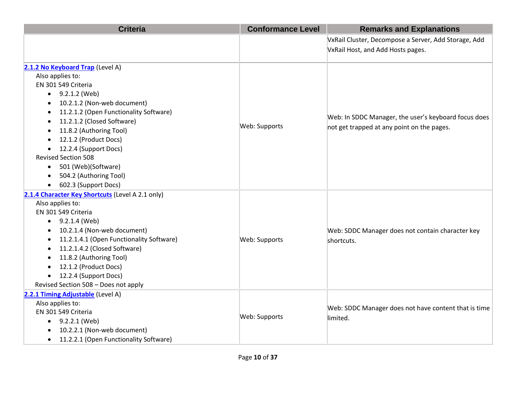| <b>Criteria</b>                                      | <b>Conformance Level</b> | <b>Remarks and Explanations</b>                      |
|------------------------------------------------------|--------------------------|------------------------------------------------------|
|                                                      |                          | VxRail Cluster, Decompose a Server, Add Storage, Add |
|                                                      |                          | VxRail Host, and Add Hosts pages.                    |
|                                                      |                          |                                                      |
| 2.1.2 No Keyboard Trap (Level A)<br>Also applies to: |                          |                                                      |
| EN 301 549 Criteria                                  |                          |                                                      |
| $\bullet$ 9.2.1.2 (Web)                              |                          |                                                      |
| 10.2.1.2 (Non-web document)                          |                          |                                                      |
| 11.2.1.2 (Open Functionality Software)               |                          |                                                      |
| 11.2.1.2 (Closed Software)                           |                          | Web: In SDDC Manager, the user's keyboard focus does |
| 11.8.2 (Authoring Tool)                              | Web: Supports            | not get trapped at any point on the pages.           |
| 12.1.2 (Product Docs)                                |                          |                                                      |
| 12.2.4 (Support Docs)<br>$\bullet$                   |                          |                                                      |
| <b>Revised Section 508</b>                           |                          |                                                      |
| 501 (Web)(Software)<br>$\bullet$                     |                          |                                                      |
| 504.2 (Authoring Tool)                               |                          |                                                      |
| 602.3 (Support Docs)                                 |                          |                                                      |
| 2.1.4 Character Key Shortcuts (Level A 2.1 only)     |                          |                                                      |
| Also applies to:                                     |                          |                                                      |
| EN 301 549 Criteria                                  |                          |                                                      |
| $\bullet$ 9.2.1.4 (Web)                              |                          |                                                      |
| 10.2.1.4 (Non-web document)                          |                          | Web: SDDC Manager does not contain character key     |
| 11.2.1.4.1 (Open Functionality Software)<br>٠        | Web: Supports            | shortcuts.                                           |
| 11.2.1.4.2 (Closed Software)                         |                          |                                                      |
| 11.8.2 (Authoring Tool)                              |                          |                                                      |
| 12.1.2 (Product Docs)                                |                          |                                                      |
| 12.2.4 (Support Docs)<br>$\bullet$                   |                          |                                                      |
| Revised Section 508 - Does not apply                 |                          |                                                      |
| 2.2.1 Timing Adjustable (Level A)                    |                          |                                                      |
| Also applies to:                                     |                          | Web: SDDC Manager does not have content that is time |
| EN 301 549 Criteria                                  | Web: Supports            | limited.                                             |
| $\bullet$ 9.2.2.1 (Web)                              |                          |                                                      |
| 10.2.2.1 (Non-web document)                          |                          |                                                      |
| 11.2.2.1 (Open Functionality Software)<br>٠          |                          |                                                      |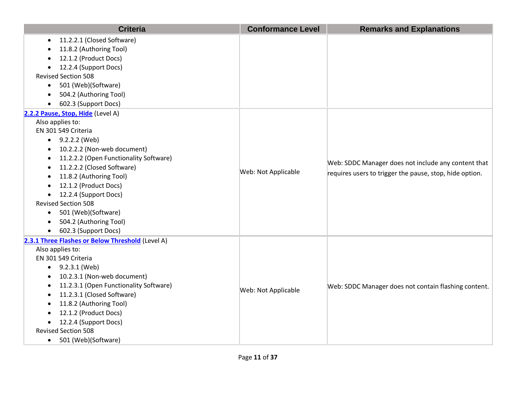| 11.2.2.1 (Closed Software)<br>$\bullet$<br>11.8.2 (Authoring Tool)<br>12.1.2 (Product Docs)<br>12.2.4 (Support Docs)<br>$\bullet$<br><b>Revised Section 508</b><br>501 (Web)(Software)<br>٠<br>504.2 (Authoring Tool)<br>602.3 (Support Docs)<br>٠<br>Also applies to:<br>EN 301 549 Criteria<br>$\bullet$ 9.2.2.2 (Web)<br>10.2.2.2 (Non-web document)<br>٠<br>11.2.2.2 (Open Functionality Software)<br>٠<br>Web: SDDC Manager does not include any content that<br>11.2.2.2 (Closed Software)<br>$\bullet$<br>Web: Not Applicable<br>requires users to trigger the pause, stop, hide option.<br>11.8.2 (Authoring Tool)<br>$\bullet$<br>12.1.2 (Product Docs)<br>12.2.4 (Support Docs)<br>٠<br><b>Revised Section 508</b><br>501 (Web)(Software)<br>$\bullet$<br>504.2 (Authoring Tool)<br>$\bullet$<br>602.3 (Support Docs)<br>$\bullet$<br>2.3.1 Three Flashes or Below Threshold (Level A)<br>Also applies to:<br>EN 301 549 Criteria<br>9.2.3.1 (Web)<br>$\bullet$<br>10.2.3.1 (Non-web document)<br>11.2.3.1 (Open Functionality Software)<br>Web: SDDC Manager does not contain flashing content.<br>Web: Not Applicable<br>11.2.3.1 (Closed Software) | <b>Criteria</b>                   | <b>Conformance Level</b> | <b>Remarks and Explanations</b> |
|-----------------------------------------------------------------------------------------------------------------------------------------------------------------------------------------------------------------------------------------------------------------------------------------------------------------------------------------------------------------------------------------------------------------------------------------------------------------------------------------------------------------------------------------------------------------------------------------------------------------------------------------------------------------------------------------------------------------------------------------------------------------------------------------------------------------------------------------------------------------------------------------------------------------------------------------------------------------------------------------------------------------------------------------------------------------------------------------------------------------------------------------------------------------|-----------------------------------|--------------------------|---------------------------------|
|                                                                                                                                                                                                                                                                                                                                                                                                                                                                                                                                                                                                                                                                                                                                                                                                                                                                                                                                                                                                                                                                                                                                                                 |                                   |                          |                                 |
|                                                                                                                                                                                                                                                                                                                                                                                                                                                                                                                                                                                                                                                                                                                                                                                                                                                                                                                                                                                                                                                                                                                                                                 |                                   |                          |                                 |
|                                                                                                                                                                                                                                                                                                                                                                                                                                                                                                                                                                                                                                                                                                                                                                                                                                                                                                                                                                                                                                                                                                                                                                 |                                   |                          |                                 |
|                                                                                                                                                                                                                                                                                                                                                                                                                                                                                                                                                                                                                                                                                                                                                                                                                                                                                                                                                                                                                                                                                                                                                                 |                                   |                          |                                 |
|                                                                                                                                                                                                                                                                                                                                                                                                                                                                                                                                                                                                                                                                                                                                                                                                                                                                                                                                                                                                                                                                                                                                                                 |                                   |                          |                                 |
|                                                                                                                                                                                                                                                                                                                                                                                                                                                                                                                                                                                                                                                                                                                                                                                                                                                                                                                                                                                                                                                                                                                                                                 |                                   |                          |                                 |
|                                                                                                                                                                                                                                                                                                                                                                                                                                                                                                                                                                                                                                                                                                                                                                                                                                                                                                                                                                                                                                                                                                                                                                 |                                   |                          |                                 |
|                                                                                                                                                                                                                                                                                                                                                                                                                                                                                                                                                                                                                                                                                                                                                                                                                                                                                                                                                                                                                                                                                                                                                                 |                                   |                          |                                 |
|                                                                                                                                                                                                                                                                                                                                                                                                                                                                                                                                                                                                                                                                                                                                                                                                                                                                                                                                                                                                                                                                                                                                                                 | 2.2.2 Pause, Stop, Hide (Level A) |                          |                                 |
|                                                                                                                                                                                                                                                                                                                                                                                                                                                                                                                                                                                                                                                                                                                                                                                                                                                                                                                                                                                                                                                                                                                                                                 |                                   |                          |                                 |
|                                                                                                                                                                                                                                                                                                                                                                                                                                                                                                                                                                                                                                                                                                                                                                                                                                                                                                                                                                                                                                                                                                                                                                 |                                   |                          |                                 |
|                                                                                                                                                                                                                                                                                                                                                                                                                                                                                                                                                                                                                                                                                                                                                                                                                                                                                                                                                                                                                                                                                                                                                                 |                                   |                          |                                 |
|                                                                                                                                                                                                                                                                                                                                                                                                                                                                                                                                                                                                                                                                                                                                                                                                                                                                                                                                                                                                                                                                                                                                                                 |                                   |                          |                                 |
|                                                                                                                                                                                                                                                                                                                                                                                                                                                                                                                                                                                                                                                                                                                                                                                                                                                                                                                                                                                                                                                                                                                                                                 |                                   |                          |                                 |
|                                                                                                                                                                                                                                                                                                                                                                                                                                                                                                                                                                                                                                                                                                                                                                                                                                                                                                                                                                                                                                                                                                                                                                 |                                   |                          |                                 |
|                                                                                                                                                                                                                                                                                                                                                                                                                                                                                                                                                                                                                                                                                                                                                                                                                                                                                                                                                                                                                                                                                                                                                                 |                                   |                          |                                 |
|                                                                                                                                                                                                                                                                                                                                                                                                                                                                                                                                                                                                                                                                                                                                                                                                                                                                                                                                                                                                                                                                                                                                                                 |                                   |                          |                                 |
|                                                                                                                                                                                                                                                                                                                                                                                                                                                                                                                                                                                                                                                                                                                                                                                                                                                                                                                                                                                                                                                                                                                                                                 |                                   |                          |                                 |
|                                                                                                                                                                                                                                                                                                                                                                                                                                                                                                                                                                                                                                                                                                                                                                                                                                                                                                                                                                                                                                                                                                                                                                 |                                   |                          |                                 |
|                                                                                                                                                                                                                                                                                                                                                                                                                                                                                                                                                                                                                                                                                                                                                                                                                                                                                                                                                                                                                                                                                                                                                                 |                                   |                          |                                 |
|                                                                                                                                                                                                                                                                                                                                                                                                                                                                                                                                                                                                                                                                                                                                                                                                                                                                                                                                                                                                                                                                                                                                                                 |                                   |                          |                                 |
|                                                                                                                                                                                                                                                                                                                                                                                                                                                                                                                                                                                                                                                                                                                                                                                                                                                                                                                                                                                                                                                                                                                                                                 |                                   |                          |                                 |
|                                                                                                                                                                                                                                                                                                                                                                                                                                                                                                                                                                                                                                                                                                                                                                                                                                                                                                                                                                                                                                                                                                                                                                 |                                   |                          |                                 |
|                                                                                                                                                                                                                                                                                                                                                                                                                                                                                                                                                                                                                                                                                                                                                                                                                                                                                                                                                                                                                                                                                                                                                                 |                                   |                          |                                 |
|                                                                                                                                                                                                                                                                                                                                                                                                                                                                                                                                                                                                                                                                                                                                                                                                                                                                                                                                                                                                                                                                                                                                                                 |                                   |                          |                                 |
|                                                                                                                                                                                                                                                                                                                                                                                                                                                                                                                                                                                                                                                                                                                                                                                                                                                                                                                                                                                                                                                                                                                                                                 |                                   |                          |                                 |
|                                                                                                                                                                                                                                                                                                                                                                                                                                                                                                                                                                                                                                                                                                                                                                                                                                                                                                                                                                                                                                                                                                                                                                 |                                   |                          |                                 |
|                                                                                                                                                                                                                                                                                                                                                                                                                                                                                                                                                                                                                                                                                                                                                                                                                                                                                                                                                                                                                                                                                                                                                                 |                                   |                          |                                 |
|                                                                                                                                                                                                                                                                                                                                                                                                                                                                                                                                                                                                                                                                                                                                                                                                                                                                                                                                                                                                                                                                                                                                                                 |                                   |                          |                                 |
| 11.8.2 (Authoring Tool)                                                                                                                                                                                                                                                                                                                                                                                                                                                                                                                                                                                                                                                                                                                                                                                                                                                                                                                                                                                                                                                                                                                                         |                                   |                          |                                 |
| 12.1.2 (Product Docs)<br>$\bullet$                                                                                                                                                                                                                                                                                                                                                                                                                                                                                                                                                                                                                                                                                                                                                                                                                                                                                                                                                                                                                                                                                                                              |                                   |                          |                                 |
| 12.2.4 (Support Docs)<br>$\bullet$                                                                                                                                                                                                                                                                                                                                                                                                                                                                                                                                                                                                                                                                                                                                                                                                                                                                                                                                                                                                                                                                                                                              |                                   |                          |                                 |
| <b>Revised Section 508</b><br>501 (Web)(Software)<br>$\bullet$                                                                                                                                                                                                                                                                                                                                                                                                                                                                                                                                                                                                                                                                                                                                                                                                                                                                                                                                                                                                                                                                                                  |                                   |                          |                                 |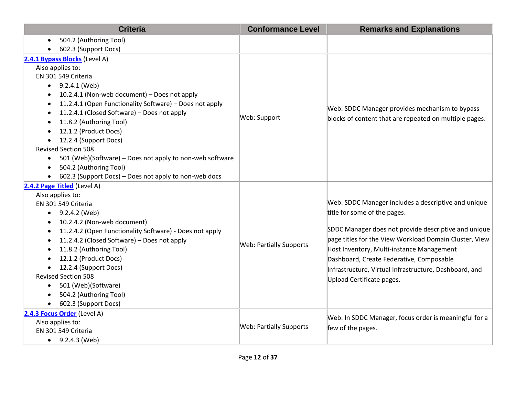| <b>Criteria</b>                                                       | <b>Conformance Level</b>       | <b>Remarks and Explanations</b>                        |
|-----------------------------------------------------------------------|--------------------------------|--------------------------------------------------------|
| 504.2 (Authoring Tool)                                                |                                |                                                        |
| 602.3 (Support Docs)                                                  |                                |                                                        |
| 2.4.1 Bypass Blocks (Level A)                                         |                                |                                                        |
| Also applies to:                                                      |                                |                                                        |
| EN 301 549 Criteria                                                   |                                |                                                        |
| $\bullet$ 9.2.4.1 (Web)                                               |                                |                                                        |
| 10.2.4.1 (Non-web document) - Does not apply                          |                                |                                                        |
| 11.2.4.1 (Open Functionality Software) - Does not apply               |                                |                                                        |
| 11.2.4.1 (Closed Software) - Does not apply                           | Web: Support                   | Web: SDDC Manager provides mechanism to bypass         |
| 11.8.2 (Authoring Tool)                                               |                                | blocks of content that are repeated on multiple pages. |
| 12.1.2 (Product Docs)                                                 |                                |                                                        |
| 12.2.4 (Support Docs)<br>$\bullet$                                    |                                |                                                        |
| <b>Revised Section 508</b>                                            |                                |                                                        |
| 501 (Web)(Software) - Does not apply to non-web software<br>$\bullet$ |                                |                                                        |
| 504.2 (Authoring Tool)<br>$\bullet$                                   |                                |                                                        |
| 602.3 (Support Docs) - Does not apply to non-web docs                 |                                |                                                        |
| 2.4.2 Page Titled (Level A)                                           |                                |                                                        |
| Also applies to:                                                      |                                |                                                        |
| EN 301 549 Criteria                                                   |                                | Web: SDDC Manager includes a descriptive and unique    |
| 9.2.4.2 (Web)                                                         |                                | title for some of the pages.                           |
| 10.2.4.2 (Non-web document)                                           |                                |                                                        |
| 11.2.4.2 (Open Functionality Software) - Does not apply               |                                | SDDC Manager does not provide descriptive and unique   |
| 11.2.4.2 (Closed Software) - Does not apply<br>$\bullet$              | <b>Web: Partially Supports</b> | page titles for the View Workload Domain Cluster, View |
| 11.8.2 (Authoring Tool)                                               |                                | Host Inventory, Multi-instance Management              |
| 12.1.2 (Product Docs)                                                 |                                | Dashboard, Create Federative, Composable               |
| 12.2.4 (Support Docs)                                                 |                                | Infrastructure, Virtual Infrastructure, Dashboard, and |
| <b>Revised Section 508</b>                                            |                                | Upload Certificate pages.                              |
| 501 (Web)(Software)<br>$\bullet$                                      |                                |                                                        |
| 504.2 (Authoring Tool)                                                |                                |                                                        |
| 602.3 (Support Docs)                                                  |                                |                                                        |
| 2.4.3 Focus Order (Level A)                                           |                                | Web: In SDDC Manager, focus order is meaningful for a  |
| Also applies to:                                                      | <b>Web: Partially Supports</b> | few of the pages.                                      |
| EN 301 549 Criteria                                                   |                                |                                                        |
| $\bullet$ 9.2.4.3 (Web)                                               |                                |                                                        |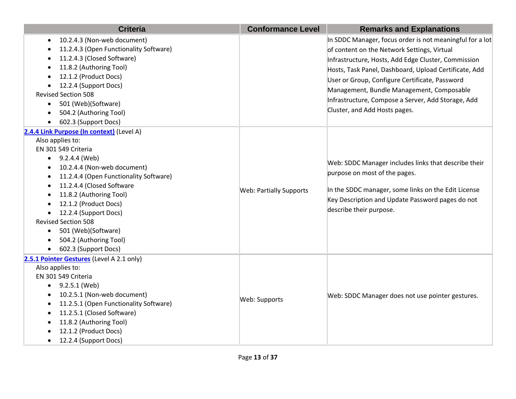| <b>Criteria</b>                                                                                                                                                                                                                                                                                                                                                                                                                                               | <b>Conformance Level</b>       | <b>Remarks and Explanations</b>                                                                                                                                                                                                                                                                    |
|---------------------------------------------------------------------------------------------------------------------------------------------------------------------------------------------------------------------------------------------------------------------------------------------------------------------------------------------------------------------------------------------------------------------------------------------------------------|--------------------------------|----------------------------------------------------------------------------------------------------------------------------------------------------------------------------------------------------------------------------------------------------------------------------------------------------|
| 10.2.4.3 (Non-web document)<br>$\bullet$<br>11.2.4.3 (Open Functionality Software)<br>11.2.4.3 (Closed Software)                                                                                                                                                                                                                                                                                                                                              |                                | In SDDC Manager, focus order is not meaningful for a lot<br>of content on the Network Settings, Virtual                                                                                                                                                                                            |
| 11.8.2 (Authoring Tool)<br>12.1.2 (Product Docs)<br>12.2.4 (Support Docs)<br><b>Revised Section 508</b><br>501 (Web)(Software)<br>$\bullet$<br>504.2 (Authoring Tool)<br>602.3 (Support Docs)                                                                                                                                                                                                                                                                 |                                | Infrastructure, Hosts, Add Edge Cluster, Commission<br>Hosts, Task Panel, Dashboard, Upload Certificate, Add<br>User or Group, Configure Certificate, Password<br>Management, Bundle Management, Composable<br>Infrastructure, Compose a Server, Add Storage, Add<br>Cluster, and Add Hosts pages. |
| 2.4.4 Link Purpose (In context) (Level A)<br>Also applies to:<br>EN 301 549 Criteria<br>$\bullet$ 9.2.4.4 (Web)<br>10.2.4.4 (Non-web document)<br>$\bullet$<br>11.2.4.4 (Open Functionality Software)<br>11.2.4.4 (Closed Software<br>$\bullet$<br>11.8.2 (Authoring Tool)<br>12.1.2 (Product Docs)<br>12.2.4 (Support Docs)<br><b>Revised Section 508</b><br>501 (Web)(Software)<br>$\bullet$<br>504.2 (Authoring Tool)<br>602.3 (Support Docs)<br>$\bullet$ | <b>Web: Partially Supports</b> | Web: SDDC Manager includes links that describe their<br>purpose on most of the pages.<br>In the SDDC manager, some links on the Edit License<br>Key Description and Update Password pages do not<br>describe their purpose.                                                                        |
| 2.5.1 Pointer Gestures (Level A 2.1 only)<br>Also applies to:<br>EN 301 549 Criteria<br>9.2.5.1 (Web)<br>10.2.5.1 (Non-web document)<br>11.2.5.1 (Open Functionality Software)<br>$\bullet$<br>11.2.5.1 (Closed Software)<br>11.8.2 (Authoring Tool)<br>12.1.2 (Product Docs)<br>12.2.4 (Support Docs)                                                                                                                                                        | Web: Supports                  | Web: SDDC Manager does not use pointer gestures.                                                                                                                                                                                                                                                   |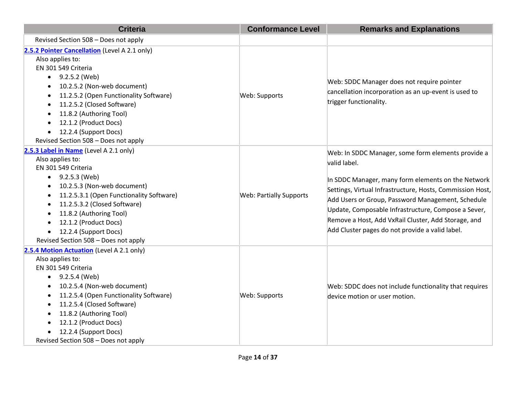| <b>Criteria</b>                                                                                                                                                                                                                                                                                                                                                        | <b>Conformance Level</b>       | <b>Remarks and Explanations</b>                                                                                                                                                                                                                                                                                                                                                                             |
|------------------------------------------------------------------------------------------------------------------------------------------------------------------------------------------------------------------------------------------------------------------------------------------------------------------------------------------------------------------------|--------------------------------|-------------------------------------------------------------------------------------------------------------------------------------------------------------------------------------------------------------------------------------------------------------------------------------------------------------------------------------------------------------------------------------------------------------|
| Revised Section 508 - Does not apply                                                                                                                                                                                                                                                                                                                                   |                                |                                                                                                                                                                                                                                                                                                                                                                                                             |
| 2.5.2 Pointer Cancellation (Level A 2.1 only)<br>Also applies to:<br>EN 301 549 Criteria<br>9.2.5.2 (Web)<br>10.2.5.2 (Non-web document)<br>11.2.5.2 (Open Functionality Software)<br>11.2.5.2 (Closed Software)<br>11.8.2 (Authoring Tool)<br>12.1.2 (Product Docs)<br>12.2.4 (Support Docs)<br>Revised Section 508 - Does not apply                                  | Web: Supports                  | Web: SDDC Manager does not require pointer<br>cancellation incorporation as an up-event is used to<br>trigger functionality.                                                                                                                                                                                                                                                                                |
| 2.5.3 Label in Name (Level A 2.1 only)<br>Also applies to:<br>EN 301 549 Criteria<br>$\bullet$ 9.2.5.3 (Web)<br>10.2.5.3 (Non-web document)<br>11.2.5.3.1 (Open Functionality Software)<br>11.2.5.3.2 (Closed Software)<br>11.8.2 (Authoring Tool)<br>$\bullet$<br>12.1.2 (Product Docs)<br>12.2.4 (Support Docs)<br>$\bullet$<br>Revised Section 508 - Does not apply | <b>Web: Partially Supports</b> | Web: In SDDC Manager, some form elements provide a<br>valid label.<br>In SDDC Manager, many form elements on the Network<br>Settings, Virtual Infrastructure, Hosts, Commission Host,<br>Add Users or Group, Password Management, Schedule<br>Update, Composable Infrastructure, Compose a Sever,<br>Remove a Host, Add VxRail Cluster, Add Storage, and<br>Add Cluster pages do not provide a valid label. |
| 2.5.4 Motion Actuation (Level A 2.1 only)<br>Also applies to:<br>EN 301 549 Criteria<br>9.2.5.4 (Web)<br>10.2.5.4 (Non-web document)<br>11.2.5.4 (Open Functionality Software)<br>11.2.5.4 (Closed Software)<br>11.8.2 (Authoring Tool)<br>$\bullet$<br>12.1.2 (Product Docs)<br>$\bullet$<br>12.2.4 (Support Docs)<br>Revised Section 508 - Does not apply            | Web: Supports                  | Web: SDDC does not include functionality that requires<br>device motion or user motion.                                                                                                                                                                                                                                                                                                                     |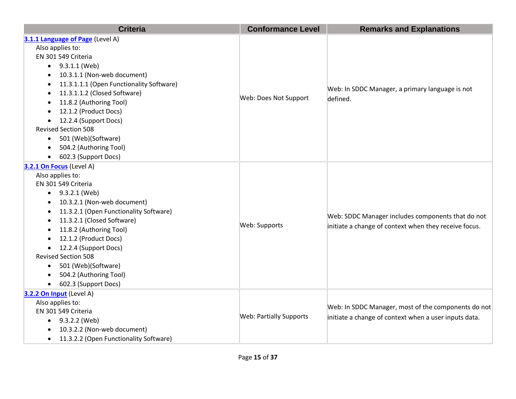| <b>Criteria</b>                                     | <b>Conformance Level</b>       | <b>Remarks and Explanations</b>                                                                              |
|-----------------------------------------------------|--------------------------------|--------------------------------------------------------------------------------------------------------------|
| 3.1.1 Language of Page (Level A)                    |                                |                                                                                                              |
| Also applies to:                                    |                                |                                                                                                              |
| EN 301 549 Criteria                                 |                                |                                                                                                              |
| 9.3.1.1 (Web)<br>$\bullet$                          |                                |                                                                                                              |
| 10.3.1.1 (Non-web document)                         |                                |                                                                                                              |
| 11.3.1.1.1 (Open Functionality Software)            |                                |                                                                                                              |
| 11.3.1.1.2 (Closed Software)<br>$\bullet$           |                                | Web: In SDDC Manager, a primary language is not<br>defined.                                                  |
| 11.8.2 (Authoring Tool)                             | Web: Does Not Support          |                                                                                                              |
| 12.1.2 (Product Docs)                               |                                |                                                                                                              |
| 12.2.4 (Support Docs)                               |                                |                                                                                                              |
| <b>Revised Section 508</b>                          |                                |                                                                                                              |
| 501 (Web)(Software)                                 |                                |                                                                                                              |
| 504.2 (Authoring Tool)                              |                                |                                                                                                              |
| 602.3 (Support Docs)<br>$\bullet$                   |                                |                                                                                                              |
| 3.2.1 On Focus (Level A)                            |                                |                                                                                                              |
| Also applies to:                                    |                                | Web: SDDC Manager includes components that do not                                                            |
| EN 301 549 Criteria                                 |                                |                                                                                                              |
| 9.3.2.1 (Web)<br>$\bullet$                          |                                |                                                                                                              |
| 10.3.2.1 (Non-web document)                         |                                |                                                                                                              |
| 11.3.2.1 (Open Functionality Software)              |                                |                                                                                                              |
| 11.3.2.1 (Closed Software)                          | Web: Supports                  |                                                                                                              |
| 11.8.2 (Authoring Tool)                             |                                | initiate a change of context when they receive focus.                                                        |
| 12.1.2 (Product Docs)                               |                                |                                                                                                              |
| 12.2.4 (Support Docs)<br>$\bullet$                  |                                |                                                                                                              |
| <b>Revised Section 508</b>                          |                                |                                                                                                              |
| 501 (Web)(Software)<br>$\bullet$                    |                                |                                                                                                              |
| 504.2 (Authoring Tool)                              |                                |                                                                                                              |
| 602.3 (Support Docs)                                |                                |                                                                                                              |
| 3.2.2 On Input (Level A)                            |                                |                                                                                                              |
| Also applies to:                                    |                                | Web: In SDDC Manager, most of the components do not<br>initiate a change of context when a user inputs data. |
| EN 301 549 Criteria                                 | <b>Web: Partially Supports</b> |                                                                                                              |
| $-9.3.2.2$ (Web)                                    |                                |                                                                                                              |
| 10.3.2.2 (Non-web document)                         |                                |                                                                                                              |
| 11.3.2.2 (Open Functionality Software)<br>$\bullet$ |                                |                                                                                                              |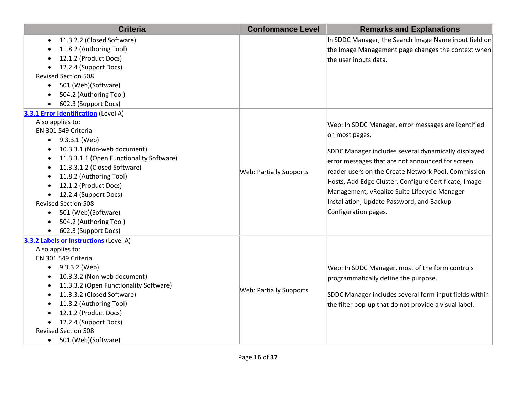| <b>Criteria</b>                                       | <b>Conformance Level</b>       | <b>Remarks and Explanations</b>                        |
|-------------------------------------------------------|--------------------------------|--------------------------------------------------------|
| 11.3.2.2 (Closed Software)<br>$\bullet$               |                                | In SDDC Manager, the Search Image Name input field on  |
| 11.8.2 (Authoring Tool)                               |                                | the Image Management page changes the context when     |
| 12.1.2 (Product Docs)                                 |                                | the user inputs data.                                  |
| 12.2.4 (Support Docs)                                 |                                |                                                        |
| <b>Revised Section 508</b>                            |                                |                                                        |
| 501 (Web)(Software)<br>$\bullet$                      |                                |                                                        |
| 504.2 (Authoring Tool)                                |                                |                                                        |
| 602.3 (Support Docs)                                  |                                |                                                        |
| 3.3.1 Error Identification (Level A)                  |                                |                                                        |
| Also applies to:                                      |                                | Web: In SDDC Manager, error messages are identified    |
| EN 301 549 Criteria                                   |                                | on most pages.                                         |
| $\bullet$ 9.3.3.1 (Web)                               |                                |                                                        |
| 10.3.3.1 (Non-web document)                           |                                | SDDC Manager includes several dynamically displayed    |
| 11.3.3.1.1 (Open Functionality Software)<br>$\bullet$ |                                | error messages that are not announced for screen       |
| 11.3.3.1.2 (Closed Software)<br>$\bullet$             | <b>Web: Partially Supports</b> | reader users on the Create Network Pool, Commission    |
| 11.8.2 (Authoring Tool)                               |                                | Hosts, Add Edge Cluster, Configure Certificate, Image  |
| 12.1.2 (Product Docs)                                 |                                |                                                        |
| 12.2.4 (Support Docs)                                 |                                | Management, vRealize Suite Lifecycle Manager           |
| <b>Revised Section 508</b>                            |                                | Installation, Update Password, and Backup              |
| 501 (Web)(Software)<br>$\bullet$                      |                                | Configuration pages.                                   |
| 504.2 (Authoring Tool)                                |                                |                                                        |
| 602.3 (Support Docs)                                  |                                |                                                        |
| 3.3.2 Labels or Instructions (Level A)                |                                |                                                        |
| Also applies to:                                      |                                |                                                        |
| EN 301 549 Criteria                                   |                                |                                                        |
| 9.3.3.2 (Web)                                         |                                | Web: In SDDC Manager, most of the form controls        |
| 10.3.3.2 (Non-web document)                           |                                | programmatically define the purpose.                   |
| 11.3.3.2 (Open Functionality Software)                | <b>Web: Partially Supports</b> |                                                        |
| 11.3.3.2 (Closed Software)                            |                                | SDDC Manager includes several form input fields within |
| 11.8.2 (Authoring Tool)                               |                                | the filter pop-up that do not provide a visual label.  |
| 12.1.2 (Product Docs)                                 |                                |                                                        |
| 12.2.4 (Support Docs)                                 |                                |                                                        |
| <b>Revised Section 508</b>                            |                                |                                                        |
| 501 (Web)(Software)<br>$\bullet$                      |                                |                                                        |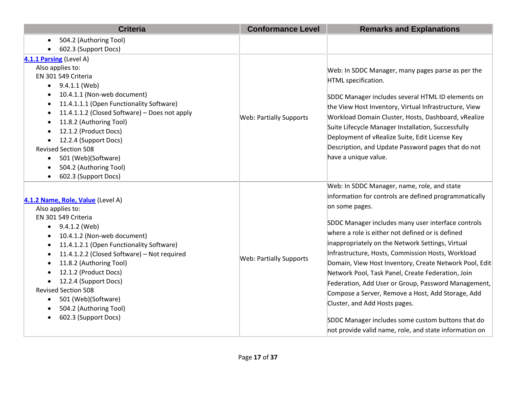| <b>Criteria</b>                                                                                                                                                                                                                                                                                                                                                                                                                                                      | <b>Conformance Level</b>       | <b>Remarks and Explanations</b>                                                                                                                                                                                                                                                                                                                                                                                                                                                                                                                                                                                                                                                                                      |
|----------------------------------------------------------------------------------------------------------------------------------------------------------------------------------------------------------------------------------------------------------------------------------------------------------------------------------------------------------------------------------------------------------------------------------------------------------------------|--------------------------------|----------------------------------------------------------------------------------------------------------------------------------------------------------------------------------------------------------------------------------------------------------------------------------------------------------------------------------------------------------------------------------------------------------------------------------------------------------------------------------------------------------------------------------------------------------------------------------------------------------------------------------------------------------------------------------------------------------------------|
| 504.2 (Authoring Tool)                                                                                                                                                                                                                                                                                                                                                                                                                                               |                                |                                                                                                                                                                                                                                                                                                                                                                                                                                                                                                                                                                                                                                                                                                                      |
| 602.3 (Support Docs)                                                                                                                                                                                                                                                                                                                                                                                                                                                 |                                |                                                                                                                                                                                                                                                                                                                                                                                                                                                                                                                                                                                                                                                                                                                      |
| 4.1.1 Parsing (Level A)<br>Also applies to:<br>EN 301 549 Criteria<br>9.4.1.1 (Web)<br>$\bullet$<br>10.4.1.1 (Non-web document)<br>11.4.1.1.1 (Open Functionality Software)<br>11.4.1.1.2 (Closed Software) - Does not apply<br>$\bullet$<br>11.8.2 (Authoring Tool)<br>$\bullet$<br>12.1.2 (Product Docs)<br>12.2.4 (Support Docs)<br>$\bullet$<br><b>Revised Section 508</b><br>501 (Web)(Software)<br>$\bullet$<br>504.2 (Authoring Tool)<br>602.3 (Support Docs) | <b>Web: Partially Supports</b> | Web: In SDDC Manager, many pages parse as per the<br>HTML specification.<br>SDDC Manager includes several HTML ID elements on<br>the View Host Inventory, Virtual Infrastructure, View<br>Workload Domain Cluster, Hosts, Dashboard, vRealize<br>Suite Lifecycle Manager Installation, Successfully<br>Deployment of vRealize Suite, Edit License Key<br>Description, and Update Password pages that do not<br>have a unique value.                                                                                                                                                                                                                                                                                  |
| 4.1.2 Name, Role, Value (Level A)<br>Also applies to:<br>EN 301 549 Criteria<br>9.4.1.2 (Web)<br>$\bullet$<br>10.4.1.2 (Non-web document)<br>11.4.1.2.1 (Open Functionality Software)<br>11.4.1.2.2 (Closed Software) - Not required<br>11.8.2 (Authoring Tool)<br>12.1.2 (Product Docs)<br>$\bullet$<br>12.2.4 (Support Docs)<br><b>Revised Section 508</b><br>501 (Web)(Software)<br>504.2 (Authoring Tool)<br>602.3 (Support Docs)                                | <b>Web: Partially Supports</b> | Web: In SDDC Manager, name, role, and state<br>information for controls are defined programmatically<br>on some pages.<br>SDDC Manager includes many user interface controls<br>where a role is either not defined or is defined<br>inappropriately on the Network Settings, Virtual<br>Infrastructure, Hosts, Commission Hosts, Workload<br>Domain, View Host Inventory, Create Network Pool, Edit<br>Network Pool, Task Panel, Create Federation, Join<br>Federation, Add User or Group, Password Management,<br>Compose a Server, Remove a Host, Add Storage, Add<br>Cluster, and Add Hosts pages.<br>SDDC Manager includes some custom buttons that do<br>not provide valid name, role, and state information on |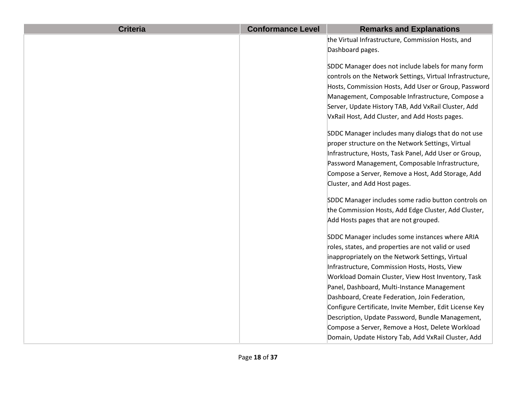| <b>Criteria</b> | <b>Conformance Level</b> | <b>Remarks and Explanations</b>                           |
|-----------------|--------------------------|-----------------------------------------------------------|
|                 |                          | the Virtual Infrastructure, Commission Hosts, and         |
|                 |                          | Dashboard pages.                                          |
|                 |                          | SDDC Manager does not include labels for many form        |
|                 |                          | controls on the Network Settings, Virtual Infrastructure, |
|                 |                          | Hosts, Commission Hosts, Add User or Group, Password      |
|                 |                          |                                                           |
|                 |                          | Management, Composable Infrastructure, Compose a          |
|                 |                          | Server, Update History TAB, Add VxRail Cluster, Add       |
|                 |                          | VxRail Host, Add Cluster, and Add Hosts pages.            |
|                 |                          | SDDC Manager includes many dialogs that do not use        |
|                 |                          | proper structure on the Network Settings, Virtual         |
|                 |                          | Infrastructure, Hosts, Task Panel, Add User or Group,     |
|                 |                          | Password Management, Composable Infrastructure,           |
|                 |                          | Compose a Server, Remove a Host, Add Storage, Add         |
|                 |                          | Cluster, and Add Host pages.                              |
|                 |                          | SDDC Manager includes some radio button controls on       |
|                 |                          |                                                           |
|                 |                          | the Commission Hosts, Add Edge Cluster, Add Cluster,      |
|                 |                          | Add Hosts pages that are not grouped.                     |
|                 |                          | SDDC Manager includes some instances where ARIA           |
|                 |                          | roles, states, and properties are not valid or used       |
|                 |                          | inappropriately on the Network Settings, Virtual          |
|                 |                          | Infrastructure, Commission Hosts, Hosts, View             |
|                 |                          | Workload Domain Cluster, View Host Inventory, Task        |
|                 |                          | Panel, Dashboard, Multi-Instance Management               |
|                 |                          | Dashboard, Create Federation, Join Federation,            |
|                 |                          | Configure Certificate, Invite Member, Edit License Key    |
|                 |                          | Description, Update Password, Bundle Management,          |
|                 |                          | Compose a Server, Remove a Host, Delete Workload          |
|                 |                          | Domain, Update History Tab, Add VxRail Cluster, Add       |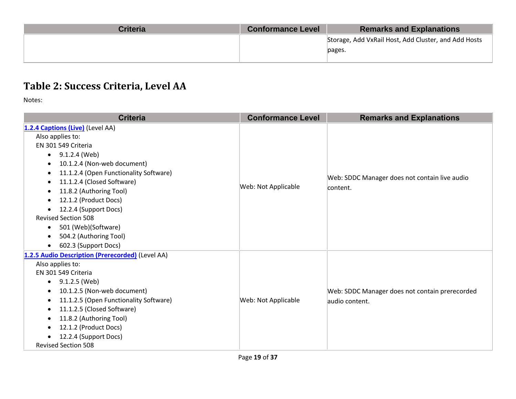| <b>Criteria</b> | <b>Conformance Level</b> | <b>Remarks and Explanations</b>                      |
|-----------------|--------------------------|------------------------------------------------------|
|                 |                          | Storage, Add VxRail Host, Add Cluster, and Add Hosts |
|                 |                          | pages.                                               |
|                 |                          |                                                      |

# **Table 2: Success Criteria, Level AA**

| <b>Criteria</b>                                                                                                                                                                                                                                                                                                                                                                                                                                                                 | <b>Conformance Level</b> | <b>Remarks and Explanations</b>                                  |
|---------------------------------------------------------------------------------------------------------------------------------------------------------------------------------------------------------------------------------------------------------------------------------------------------------------------------------------------------------------------------------------------------------------------------------------------------------------------------------|--------------------------|------------------------------------------------------------------|
| 1.2.4 Captions (Live) (Level AA)<br>Also applies to:<br>EN 301 549 Criteria<br>$\bullet$ 9.1.2.4 (Web)<br>10.1.2.4 (Non-web document)<br>$\bullet$<br>11.1.2.4 (Open Functionality Software)<br>11.1.2.4 (Closed Software)<br>11.8.2 (Authoring Tool)<br>$\bullet$<br>12.1.2 (Product Docs)<br>12.2.4 (Support Docs)<br>$\bullet$<br><b>Revised Section 508</b><br>501 (Web)(Software)<br>$\bullet$<br>504.2 (Authoring Tool)<br>$\bullet$<br>602.3 (Support Docs)<br>$\bullet$ | Web: Not Applicable      | Web: SDDC Manager does not contain live audio<br>content.        |
| 1.2.5 Audio Description (Prerecorded) (Level AA)<br>Also applies to:<br>EN 301 549 Criteria<br>9.1.2.5 (Web)<br>$\bullet$<br>10.1.2.5 (Non-web document)<br>11.1.2.5 (Open Functionality Software)<br>11.1.2.5 (Closed Software)<br>$\bullet$<br>11.8.2 (Authoring Tool)<br>٠<br>12.1.2 (Product Docs)<br>12.2.4 (Support Docs)<br><b>Revised Section 508</b>                                                                                                                   | Web: Not Applicable      | Web: SDDC Manager does not contain prerecorded<br>audio content. |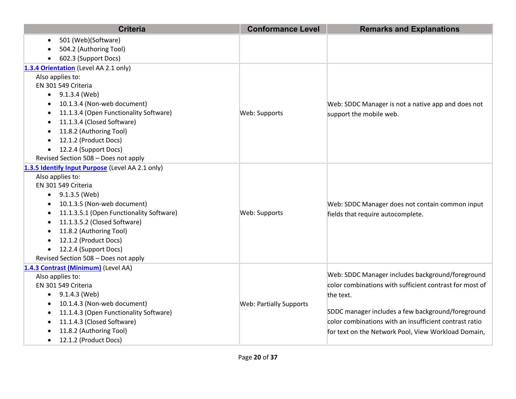| <b>Criteria</b>                                  | <b>Conformance Level</b>       | <b>Remarks and Explanations</b>                         |
|--------------------------------------------------|--------------------------------|---------------------------------------------------------|
| 501 (Web)(Software)                              |                                |                                                         |
| 504.2 (Authoring Tool)                           |                                |                                                         |
| 602.3 (Support Docs)                             |                                |                                                         |
| 1.3.4 Orientation (Level AA 2.1 only)            |                                |                                                         |
| Also applies to:                                 |                                |                                                         |
| EN 301 549 Criteria                              |                                |                                                         |
| $\bullet$ 9.1.3.4 (Web)                          |                                |                                                         |
| 10.1.3.4 (Non-web document)                      |                                | Web: SDDC Manager is not a native app and does not      |
| 11.1.3.4 (Open Functionality Software)           | Web: Supports                  | support the mobile web.                                 |
| 11.1.3.4 (Closed Software)                       |                                |                                                         |
| 11.8.2 (Authoring Tool)                          |                                |                                                         |
| 12.1.2 (Product Docs)                            |                                |                                                         |
| 12.2.4 (Support Docs)                            |                                |                                                         |
| Revised Section 508 - Does not apply             |                                |                                                         |
| 1.3.5 Identify Input Purpose (Level AA 2.1 only) |                                |                                                         |
| Also applies to:                                 |                                |                                                         |
| EN 301 549 Criteria                              |                                |                                                         |
| 9.1.3.5 (Web)                                    |                                |                                                         |
| 10.1.3.5 (Non-web document)                      |                                | Web: SDDC Manager does not contain common input         |
| 11.1.3.5.1 (Open Functionality Software)         | Web: Supports                  | fields that require autocomplete.                       |
| 11.1.3.5.2 (Closed Software)                     |                                |                                                         |
| 11.8.2 (Authoring Tool)                          |                                |                                                         |
| 12.1.2 (Product Docs)                            |                                |                                                         |
| 12.2.4 (Support Docs)                            |                                |                                                         |
| Revised Section 508 - Does not apply             |                                |                                                         |
| 1.4.3 Contrast (Minimum) (Level AA)              |                                |                                                         |
| Also applies to:                                 |                                | Web: SDDC Manager includes background/foreground        |
| EN 301 549 Criteria                              |                                | color combinations with sufficient contrast for most of |
| 9.1.4.3 (Web)                                    |                                | the text.                                               |
| 10.1.4.3 (Non-web document)                      | <b>Web: Partially Supports</b> |                                                         |
| 11.1.4.3 (Open Functionality Software)           |                                | SDDC manager includes a few background/foreground       |
| 11.1.4.3 (Closed Software)                       |                                | color combinations with an insufficient contrast ratio  |
| 11.8.2 (Authoring Tool)                          |                                | for text on the Network Pool, View Workload Domain,     |
| 12.1.2 (Product Docs)<br>$\bullet$               |                                |                                                         |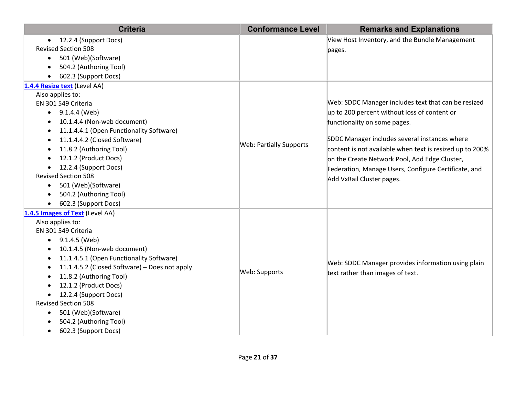| <b>Criteria</b>                                            | <b>Conformance Level</b>       | <b>Remarks and Explanations</b>                          |
|------------------------------------------------------------|--------------------------------|----------------------------------------------------------|
| 12.2.4 (Support Docs)<br>$\bullet$                         |                                | View Host Inventory, and the Bundle Management           |
| <b>Revised Section 508</b>                                 |                                | pages.                                                   |
| 501 (Web)(Software)<br>$\bullet$                           |                                |                                                          |
| 504.2 (Authoring Tool)<br>$\bullet$                        |                                |                                                          |
| 602.3 (Support Docs)                                       |                                |                                                          |
| 1.4.4 Resize text (Level AA)                               |                                |                                                          |
| Also applies to:                                           |                                |                                                          |
| EN 301 549 Criteria                                        |                                | Web: SDDC Manager includes text that can be resized      |
| $\bullet$ 9.1.4.4 (Web)                                    |                                | up to 200 percent without loss of content or             |
| 10.1.4.4 (Non-web document)<br>$\bullet$                   |                                | functionality on some pages.                             |
| 11.1.4.4.1 (Open Functionality Software)<br>$\bullet$      |                                |                                                          |
| 11.1.4.4.2 (Closed Software)                               | <b>Web: Partially Supports</b> | SDDC Manager includes several instances where            |
| 11.8.2 (Authoring Tool)                                    |                                | content is not available when text is resized up to 200% |
| 12.1.2 (Product Docs)                                      |                                | on the Create Network Pool, Add Edge Cluster,            |
| 12.2.4 (Support Docs)                                      |                                | Federation, Manage Users, Configure Certificate, and     |
| <b>Revised Section 508</b>                                 |                                | Add VxRail Cluster pages.                                |
| 501 (Web)(Software)<br>$\bullet$                           |                                |                                                          |
| 504.2 (Authoring Tool)                                     |                                |                                                          |
| 602.3 (Support Docs)                                       |                                |                                                          |
| 1.4.5 Images of Text (Level AA)                            |                                |                                                          |
| Also applies to:                                           |                                |                                                          |
| EN 301 549 Criteria                                        |                                |                                                          |
| 9.1.4.5 (Web)                                              |                                |                                                          |
| 10.1.4.5 (Non-web document)                                |                                |                                                          |
| 11.1.4.5.1 (Open Functionality Software)<br>$\bullet$      |                                | Web: SDDC Manager provides information using plain       |
| 11.1.4.5.2 (Closed Software) - Does not apply<br>$\bullet$ | Web: Supports                  |                                                          |
| 11.8.2 (Authoring Tool)                                    |                                | text rather than images of text.                         |
| 12.1.2 (Product Docs)                                      |                                |                                                          |
| 12.2.4 (Support Docs)                                      |                                |                                                          |
| <b>Revised Section 508</b>                                 |                                |                                                          |
| 501 (Web)(Software)<br>$\bullet$                           |                                |                                                          |
| 504.2 (Authoring Tool)                                     |                                |                                                          |
| 602.3 (Support Docs)<br>$\bullet$                          |                                |                                                          |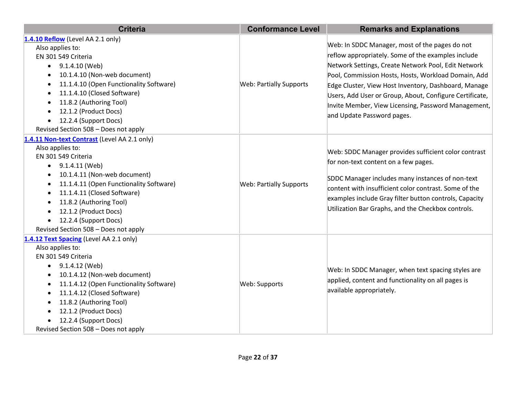| <b>Criteria</b>                                                                                                                                                                                                                                                                                                                                                                                           | <b>Conformance Level</b>       | <b>Remarks and Explanations</b>                                                                                                                                                                                                                                                                                                                                                                                            |
|-----------------------------------------------------------------------------------------------------------------------------------------------------------------------------------------------------------------------------------------------------------------------------------------------------------------------------------------------------------------------------------------------------------|--------------------------------|----------------------------------------------------------------------------------------------------------------------------------------------------------------------------------------------------------------------------------------------------------------------------------------------------------------------------------------------------------------------------------------------------------------------------|
| 1.4.10 Reflow (Level AA 2.1 only)<br>Also applies to:<br>EN 301 549 Criteria<br>9.1.4.10 (Web)<br>$\bullet$<br>10.1.4.10 (Non-web document)<br>$\bullet$<br>11.1.4.10 (Open Functionality Software)<br>$\bullet$<br>11.1.4.10 (Closed Software)<br>11.8.2 (Authoring Tool)<br>$\bullet$<br>12.1.2 (Product Docs)<br>$\bullet$<br>12.2.4 (Support Docs)<br>Revised Section 508 - Does not apply            | <b>Web: Partially Supports</b> | Web: In SDDC Manager, most of the pages do not<br>reflow appropriately. Some of the examples include<br>Network Settings, Create Network Pool, Edit Network<br>Pool, Commission Hosts, Hosts, Workload Domain, Add<br>Edge Cluster, View Host Inventory, Dashboard, Manage<br>Users, Add User or Group, About, Configure Certificate,<br>Invite Member, View Licensing, Password Management,<br>and Update Password pages. |
| 1.4.11 Non-text Contrast (Level AA 2.1 only)<br>Also applies to:<br>EN 301 549 Criteria<br>9.1.4.11 (Web)<br>$\bullet$<br>10.1.4.11 (Non-web document)<br>$\bullet$<br>11.1.4.11 (Open Functionality Software)<br>$\bullet$<br>11.1.4.11 (Closed Software)<br>11.8.2 (Authoring Tool)<br>$\bullet$<br>12.1.2 (Product Docs)<br>$\bullet$<br>12.2.4 (Support Docs)<br>Revised Section 508 - Does not apply | <b>Web: Partially Supports</b> | Web: SDDC Manager provides sufficient color contrast<br>for non-text content on a few pages.<br>SDDC Manager includes many instances of non-text<br>content with insufficient color contrast. Some of the<br>examples include Gray filter button controls, Capacity<br>Utilization Bar Graphs, and the Checkbox controls.                                                                                                  |
| 1.4.12 Text Spacing (Level AA 2.1 only)<br>Also applies to:<br>EN 301 549 Criteria<br>9.1.4.12 (Web)<br>$\bullet$<br>10.1.4.12 (Non-web document)<br>$\bullet$<br>11.1.4.12 (Open Functionality Software)<br>$\bullet$<br>11.1.4.12 (Closed Software)<br>11.8.2 (Authoring Tool)<br>$\bullet$<br>12.1.2 (Product Docs)<br>$\bullet$<br>12.2.4 (Support Docs)<br>Revised Section 508 - Does not apply      | Web: Supports                  | Web: In SDDC Manager, when text spacing styles are<br>applied, content and functionality on all pages is<br>available appropriately.                                                                                                                                                                                                                                                                                       |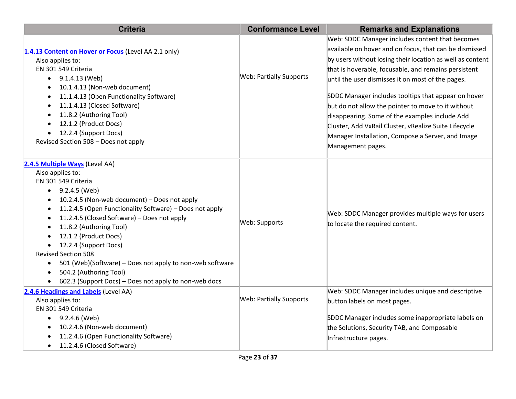| <b>Criteria</b>                                                       | <b>Conformance Level</b>       | <b>Remarks and Explanations</b>                           |
|-----------------------------------------------------------------------|--------------------------------|-----------------------------------------------------------|
|                                                                       |                                | Web: SDDC Manager includes content that becomes           |
| 1.4.13 Content on Hover or Focus (Level AA 2.1 only)                  |                                | available on hover and on focus, that can be dismissed    |
| Also applies to:                                                      |                                | by users without losing their location as well as content |
| EN 301 549 Criteria                                                   |                                | that is hoverable, focusable, and remains persistent      |
| $\bullet$ 9.1.4.13 (Web)                                              | <b>Web: Partially Supports</b> | until the user dismisses it on most of the pages.         |
| 10.1.4.13 (Non-web document)<br>$\bullet$                             |                                |                                                           |
| 11.1.4.13 (Open Functionality Software)<br>$\bullet$                  |                                | SDDC Manager includes tooltips that appear on hover       |
| 11.1.4.13 (Closed Software)<br>$\bullet$                              |                                | but do not allow the pointer to move to it without        |
| 11.8.2 (Authoring Tool)<br>$\bullet$                                  |                                | disappearing. Some of the examples include Add            |
| 12.1.2 (Product Docs)<br>$\bullet$                                    |                                | Cluster, Add VxRail Cluster, vRealize Suite Lifecycle     |
| 12.2.4 (Support Docs)<br>$\bullet$                                    |                                | Manager Installation, Compose a Server, and Image         |
| Revised Section 508 - Does not apply                                  |                                | Management pages.                                         |
| 2.4.5 Multiple Ways (Level AA)                                        |                                |                                                           |
| Also applies to:                                                      |                                |                                                           |
| EN 301 549 Criteria                                                   |                                |                                                           |
| 9.2.4.5 (Web)<br>$\bullet$                                            |                                |                                                           |
| 10.2.4.5 (Non-web document) - Does not apply<br>$\bullet$             |                                |                                                           |
| 11.2.4.5 (Open Functionality Software) - Does not apply<br>$\bullet$  |                                | Web: SDDC Manager provides multiple ways for users        |
| 11.2.4.5 (Closed Software) - Does not apply<br>$\bullet$              | Web: Supports                  | to locate the required content.                           |
| 11.8.2 (Authoring Tool)<br>$\bullet$                                  |                                |                                                           |
| 12.1.2 (Product Docs)<br>$\bullet$                                    |                                |                                                           |
| 12.2.4 (Support Docs)<br>$\bullet$                                    |                                |                                                           |
| <b>Revised Section 508</b>                                            |                                |                                                           |
| 501 (Web)(Software) - Does not apply to non-web software<br>$\bullet$ |                                |                                                           |
| 504.2 (Authoring Tool)<br>$\bullet$                                   |                                |                                                           |
| 602.3 (Support Docs) - Does not apply to non-web docs<br>$\bullet$    |                                |                                                           |
| 2.4.6 Headings and Labels (Level AA)                                  |                                | Web: SDDC Manager includes unique and descriptive         |
| Also applies to:                                                      | <b>Web: Partially Supports</b> | button labels on most pages.                              |
| EN 301 549 Criteria                                                   |                                |                                                           |
| 9.2.4.6 (Web)<br>$\bullet$                                            |                                | SDDC Manager includes some inappropriate labels on        |
| 10.2.4.6 (Non-web document)<br>$\bullet$                              |                                | the Solutions, Security TAB, and Composable               |
| 11.2.4.6 (Open Functionality Software)<br>$\bullet$                   |                                | Infrastructure pages.                                     |
| 11.2.4.6 (Closed Software)<br>$\bullet$                               |                                |                                                           |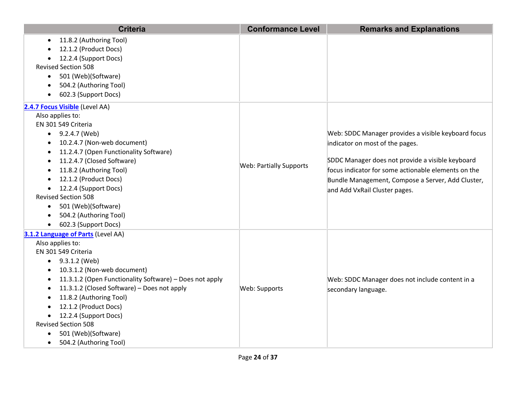| <b>Criteria</b>                                         | <b>Conformance Level</b>       | <b>Remarks and Explanations</b>                     |
|---------------------------------------------------------|--------------------------------|-----------------------------------------------------|
| 11.8.2 (Authoring Tool)<br>$\bullet$                    |                                |                                                     |
| 12.1.2 (Product Docs)                                   |                                |                                                     |
| 12.2.4 (Support Docs)                                   |                                |                                                     |
| <b>Revised Section 508</b>                              |                                |                                                     |
| 501 (Web)(Software)<br>$\bullet$                        |                                |                                                     |
| 504.2 (Authoring Tool)                                  |                                |                                                     |
| 602.3 (Support Docs)<br>$\bullet$                       |                                |                                                     |
| 2.4.7 Focus Visible (Level AA)                          |                                |                                                     |
| Also applies to:                                        |                                |                                                     |
| EN 301 549 Criteria                                     |                                |                                                     |
| $\bullet$ 9.2.4.7 (Web)                                 |                                | Web: SDDC Manager provides a visible keyboard focus |
| 10.2.4.7 (Non-web document)<br>$\bullet$                |                                | indicator on most of the pages.                     |
| 11.2.4.7 (Open Functionality Software)<br>٠             |                                |                                                     |
| 11.2.4.7 (Closed Software)                              | <b>Web: Partially Supports</b> | SDDC Manager does not provide a visible keyboard    |
| 11.8.2 (Authoring Tool)                                 |                                | focus indicator for some actionable elements on the |
| 12.1.2 (Product Docs)                                   |                                | Bundle Management, Compose a Server, Add Cluster,   |
| 12.2.4 (Support Docs)                                   |                                | and Add VxRail Cluster pages.                       |
| <b>Revised Section 508</b>                              |                                |                                                     |
| 501 (Web)(Software)<br>$\bullet$                        |                                |                                                     |
| 504.2 (Authoring Tool)                                  |                                |                                                     |
| 602.3 (Support Docs)<br>$\bullet$                       |                                |                                                     |
| 3.1.2 Language of Parts (Level AA)                      |                                |                                                     |
| Also applies to:                                        |                                |                                                     |
| EN 301 549 Criteria                                     |                                |                                                     |
| 9.3.1.2 (Web)                                           |                                |                                                     |
| 10.3.1.2 (Non-web document)                             |                                |                                                     |
| 11.3.1.2 (Open Functionality Software) - Does not apply |                                | Web: SDDC Manager does not include content in a     |
| 11.3.1.2 (Closed Software) - Does not apply             | Web: Supports                  | secondary language.                                 |
| 11.8.2 (Authoring Tool)                                 |                                |                                                     |
| 12.1.2 (Product Docs)                                   |                                |                                                     |
| 12.2.4 (Support Docs)<br>$\bullet$                      |                                |                                                     |
| <b>Revised Section 508</b>                              |                                |                                                     |
| 501 (Web)(Software)                                     |                                |                                                     |
| 504.2 (Authoring Tool)<br>$\bullet$                     |                                |                                                     |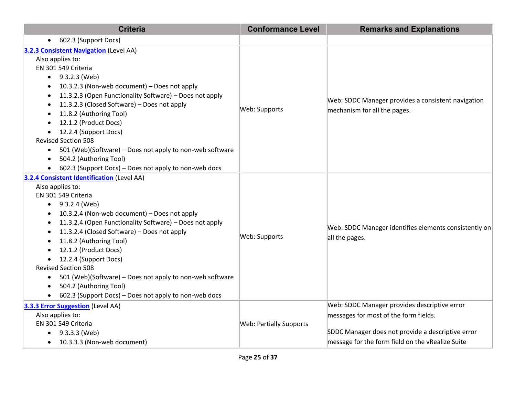| <b>Criteria</b>                                                                                                                                                                                                                                                                                                                                                                                                                                                                                                                                                                                               | <b>Conformance Level</b>       | <b>Remarks and Explanations</b>                                                                                                                                                                |
|---------------------------------------------------------------------------------------------------------------------------------------------------------------------------------------------------------------------------------------------------------------------------------------------------------------------------------------------------------------------------------------------------------------------------------------------------------------------------------------------------------------------------------------------------------------------------------------------------------------|--------------------------------|------------------------------------------------------------------------------------------------------------------------------------------------------------------------------------------------|
| 602.3 (Support Docs)<br>$\bullet$                                                                                                                                                                                                                                                                                                                                                                                                                                                                                                                                                                             |                                |                                                                                                                                                                                                |
| 3.2.3 Consistent Navigation (Level AA)<br>Also applies to:<br>EN 301 549 Criteria<br>$\bullet$ 9.3.2.3 (Web)<br>10.3.2.3 (Non-web document) - Does not apply<br>11.3.2.3 (Open Functionality Software) - Does not apply<br>11.3.2.3 (Closed Software) - Does not apply<br>11.8.2 (Authoring Tool)<br>12.1.2 (Product Docs)<br>12.2.4 (Support Docs)<br>$\bullet$<br><b>Revised Section 508</b><br>501 (Web)(Software) - Does not apply to non-web software<br>$\bullet$<br>504.2 (Authoring Tool)<br>$\bullet$<br>602.3 (Support Docs) - Does not apply to non-web docs                                       | Web: Supports                  | Web: SDDC Manager provides a consistent navigation<br>mechanism for all the pages.                                                                                                             |
| 3.2.4 Consistent Identification (Level AA)<br>Also applies to:<br>EN 301 549 Criteria<br>9.3.2.4 (Web)<br>$\bullet$<br>10.3.2.4 (Non-web document) - Does not apply<br>11.3.2.4 (Open Functionality Software) - Does not apply<br>$\bullet$<br>11.3.2.4 (Closed Software) - Does not apply<br>$\bullet$<br>11.8.2 (Authoring Tool)<br>٠<br>12.1.2 (Product Docs)<br>$\bullet$<br>12.2.4 (Support Docs)<br>$\bullet$<br><b>Revised Section 508</b><br>501 (Web)(Software) - Does not apply to non-web software<br>$\bullet$<br>504.2 (Authoring Tool)<br>602.3 (Support Docs) - Does not apply to non-web docs | Web: Supports                  | Web: SDDC Manager identifies elements consistently on<br>all the pages.                                                                                                                        |
| <b>3.3.3 Error Suggestion</b> (Level AA)<br>Also applies to:<br>EN 301 549 Criteria<br>9.3.3.3 (Web)<br>$\bullet$<br>10.3.3.3 (Non-web document)<br>$\bullet$                                                                                                                                                                                                                                                                                                                                                                                                                                                 | <b>Web: Partially Supports</b> | Web: SDDC Manager provides descriptive error<br>messages for most of the form fields.<br>SDDC Manager does not provide a descriptive error<br>message for the form field on the vRealize Suite |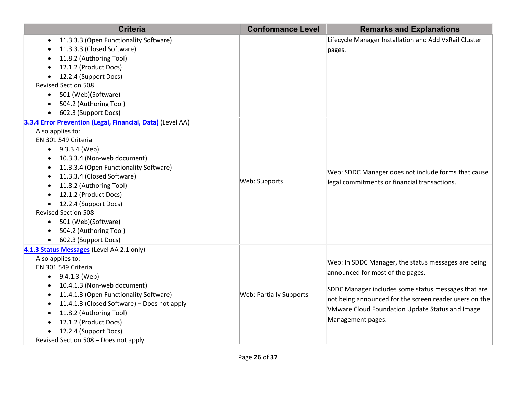| Lifecycle Manager Installation and Add VxRail Cluster<br>11.3.3.3 (Open Functionality Software)<br>$\bullet$<br>11.3.3.3 (Closed Software)<br>pages.<br>11.8.2 (Authoring Tool)<br>12.1.2 (Product Docs)<br>12.2.4 (Support Docs)<br><b>Revised Section 508</b><br>501 (Web)(Software)<br>$\bullet$<br>504.2 (Authoring Tool)<br>602.3 (Support Docs)<br>3.3.4 Error Prevention (Legal, Financial, Data) (Level AA)<br>Also applies to:<br>EN 301 549 Criteria<br>$\bullet$ 9.3.3.4 (Web)<br>10.3.3.4 (Non-web document)<br>$\bullet$<br>11.3.3.4 (Open Functionality Software)<br>$\bullet$<br>Web: SDDC Manager does not include forms that cause<br>11.3.3.4 (Closed Software)<br>$\bullet$<br>Web: Supports<br>legal commitments or financial transactions.<br>11.8.2 (Authoring Tool)<br>12.1.2 (Product Docs)<br>12.2.4 (Support Docs)<br><b>Revised Section 508</b><br>501 (Web)(Software)<br>$\bullet$<br>504.2 (Authoring Tool)<br>602.3 (Support Docs)<br>$\bullet$<br>4.1.3 Status Messages (Level AA 2.1 only)<br>Also applies to: |
|------------------------------------------------------------------------------------------------------------------------------------------------------------------------------------------------------------------------------------------------------------------------------------------------------------------------------------------------------------------------------------------------------------------------------------------------------------------------------------------------------------------------------------------------------------------------------------------------------------------------------------------------------------------------------------------------------------------------------------------------------------------------------------------------------------------------------------------------------------------------------------------------------------------------------------------------------------------------------------------------------------------------------------------------|
|                                                                                                                                                                                                                                                                                                                                                                                                                                                                                                                                                                                                                                                                                                                                                                                                                                                                                                                                                                                                                                                |
|                                                                                                                                                                                                                                                                                                                                                                                                                                                                                                                                                                                                                                                                                                                                                                                                                                                                                                                                                                                                                                                |
|                                                                                                                                                                                                                                                                                                                                                                                                                                                                                                                                                                                                                                                                                                                                                                                                                                                                                                                                                                                                                                                |
|                                                                                                                                                                                                                                                                                                                                                                                                                                                                                                                                                                                                                                                                                                                                                                                                                                                                                                                                                                                                                                                |
|                                                                                                                                                                                                                                                                                                                                                                                                                                                                                                                                                                                                                                                                                                                                                                                                                                                                                                                                                                                                                                                |
|                                                                                                                                                                                                                                                                                                                                                                                                                                                                                                                                                                                                                                                                                                                                                                                                                                                                                                                                                                                                                                                |
|                                                                                                                                                                                                                                                                                                                                                                                                                                                                                                                                                                                                                                                                                                                                                                                                                                                                                                                                                                                                                                                |
|                                                                                                                                                                                                                                                                                                                                                                                                                                                                                                                                                                                                                                                                                                                                                                                                                                                                                                                                                                                                                                                |
|                                                                                                                                                                                                                                                                                                                                                                                                                                                                                                                                                                                                                                                                                                                                                                                                                                                                                                                                                                                                                                                |
|                                                                                                                                                                                                                                                                                                                                                                                                                                                                                                                                                                                                                                                                                                                                                                                                                                                                                                                                                                                                                                                |
|                                                                                                                                                                                                                                                                                                                                                                                                                                                                                                                                                                                                                                                                                                                                                                                                                                                                                                                                                                                                                                                |
|                                                                                                                                                                                                                                                                                                                                                                                                                                                                                                                                                                                                                                                                                                                                                                                                                                                                                                                                                                                                                                                |
|                                                                                                                                                                                                                                                                                                                                                                                                                                                                                                                                                                                                                                                                                                                                                                                                                                                                                                                                                                                                                                                |
|                                                                                                                                                                                                                                                                                                                                                                                                                                                                                                                                                                                                                                                                                                                                                                                                                                                                                                                                                                                                                                                |
|                                                                                                                                                                                                                                                                                                                                                                                                                                                                                                                                                                                                                                                                                                                                                                                                                                                                                                                                                                                                                                                |
|                                                                                                                                                                                                                                                                                                                                                                                                                                                                                                                                                                                                                                                                                                                                                                                                                                                                                                                                                                                                                                                |
|                                                                                                                                                                                                                                                                                                                                                                                                                                                                                                                                                                                                                                                                                                                                                                                                                                                                                                                                                                                                                                                |
|                                                                                                                                                                                                                                                                                                                                                                                                                                                                                                                                                                                                                                                                                                                                                                                                                                                                                                                                                                                                                                                |
|                                                                                                                                                                                                                                                                                                                                                                                                                                                                                                                                                                                                                                                                                                                                                                                                                                                                                                                                                                                                                                                |
|                                                                                                                                                                                                                                                                                                                                                                                                                                                                                                                                                                                                                                                                                                                                                                                                                                                                                                                                                                                                                                                |
|                                                                                                                                                                                                                                                                                                                                                                                                                                                                                                                                                                                                                                                                                                                                                                                                                                                                                                                                                                                                                                                |
|                                                                                                                                                                                                                                                                                                                                                                                                                                                                                                                                                                                                                                                                                                                                                                                                                                                                                                                                                                                                                                                |
|                                                                                                                                                                                                                                                                                                                                                                                                                                                                                                                                                                                                                                                                                                                                                                                                                                                                                                                                                                                                                                                |
|                                                                                                                                                                                                                                                                                                                                                                                                                                                                                                                                                                                                                                                                                                                                                                                                                                                                                                                                                                                                                                                |
| Web: In SDDC Manager, the status messages are being                                                                                                                                                                                                                                                                                                                                                                                                                                                                                                                                                                                                                                                                                                                                                                                                                                                                                                                                                                                            |
| EN 301 549 Criteria<br>announced for most of the pages.                                                                                                                                                                                                                                                                                                                                                                                                                                                                                                                                                                                                                                                                                                                                                                                                                                                                                                                                                                                        |
| 9.4.1.3 (Web)<br>$\bullet$                                                                                                                                                                                                                                                                                                                                                                                                                                                                                                                                                                                                                                                                                                                                                                                                                                                                                                                                                                                                                     |
| 10.4.1.3 (Non-web document)<br>SDDC Manager includes some status messages that are                                                                                                                                                                                                                                                                                                                                                                                                                                                                                                                                                                                                                                                                                                                                                                                                                                                                                                                                                             |
| 11.4.1.3 (Open Functionality Software)<br><b>Web: Partially Supports</b><br>not being announced for the screen reader users on the                                                                                                                                                                                                                                                                                                                                                                                                                                                                                                                                                                                                                                                                                                                                                                                                                                                                                                             |
| 11.4.1.3 (Closed Software) - Does not apply<br>VMware Cloud Foundation Update Status and Image                                                                                                                                                                                                                                                                                                                                                                                                                                                                                                                                                                                                                                                                                                                                                                                                                                                                                                                                                 |
| 11.8.2 (Authoring Tool)<br>٠<br>Management pages.                                                                                                                                                                                                                                                                                                                                                                                                                                                                                                                                                                                                                                                                                                                                                                                                                                                                                                                                                                                              |
| 12.1.2 (Product Docs)                                                                                                                                                                                                                                                                                                                                                                                                                                                                                                                                                                                                                                                                                                                                                                                                                                                                                                                                                                                                                          |
| 12.2.4 (Support Docs)<br>Revised Section 508 - Does not apply                                                                                                                                                                                                                                                                                                                                                                                                                                                                                                                                                                                                                                                                                                                                                                                                                                                                                                                                                                                  |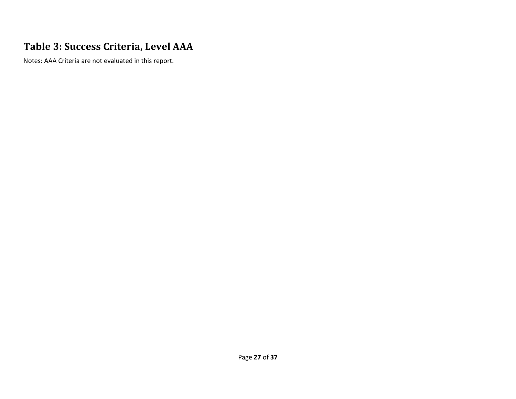#### **Table 3: Success Criteria, Level AAA**

Notes: AAA Criteria are not evaluated in this report.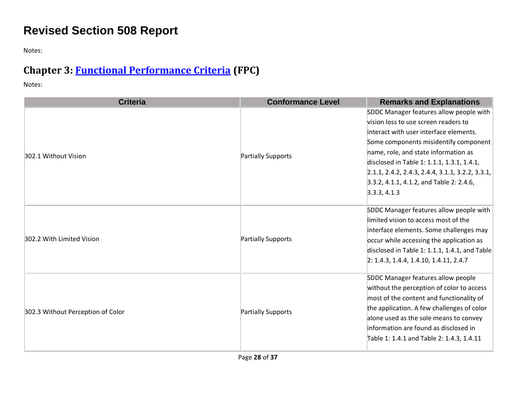# **Revised Section 508 Report**

Notes:

# **Chapter 3: [Functional Performance Criteria](https://www.access-board.gov/guidelines-and-standards/communications-and-it/about-the-ict-refresh/final-rule/text-of-the-standards-and-guidelines#302-functional-performance-criteria) (FPC)**

| <b>Criteria</b>                   | <b>Conformance Level</b> | <b>Remarks and Explanations</b>                                |
|-----------------------------------|--------------------------|----------------------------------------------------------------|
| 302.1 Without Vision              | Partially Supports       | SDDC Manager features allow people with                        |
|                                   |                          | vision loss to use screen readers to                           |
|                                   |                          | interact with user interface elements.                         |
|                                   |                          | Some components misidentify component                          |
|                                   |                          | name, role, and state information as                           |
|                                   |                          | disclosed in Table 1: 1.1.1, 1.3.1, 1.4.1,                     |
|                                   |                          | $\vert 2.1.1, 2.4.2, 2.4.3, 2.4.4, 3.1.1, 3.2.2, 3.3.1, \vert$ |
|                                   |                          | $3.3.2, 4.1.1, 4.1.2,$ and Table 2: 2.4.6,                     |
|                                   |                          | 3.3.3, 4.1.3                                                   |
| 302.2 With Limited Vision         | Partially Supports       | SDDC Manager features allow people with                        |
|                                   |                          | limited vision to access most of the                           |
|                                   |                          | interface elements. Some challenges may                        |
|                                   |                          | occur while accessing the application as                       |
|                                   |                          | disclosed in Table 1: 1.1.1, 1.4.1, and Table                  |
|                                   |                          | $[2: 1.4.3, 1.4.4, 1.4.10, 1.4.11, 2.4.7]$                     |
| 302.3 Without Perception of Color | Partially Supports       | SDDC Manager features allow people                             |
|                                   |                          | without the perception of color to access                      |
|                                   |                          | most of the content and functionality of                       |
|                                   |                          | the application. A few challenges of color                     |
|                                   |                          | alone used as the sole means to convey                         |
|                                   |                          | information are found as disclosed in                          |
|                                   |                          | Table 1: 1.4.1 and Table 2: 1.4.3, 1.4.11                      |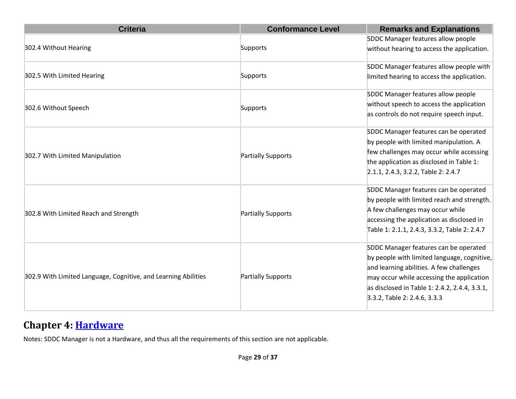| <b>Criteria</b>                                                | <b>Conformance Level</b> | <b>Remarks and Explanations</b>               |
|----------------------------------------------------------------|--------------------------|-----------------------------------------------|
| 302.4 Without Hearing                                          |                          | SDDC Manager features allow people            |
|                                                                | Supports                 | without hearing to access the application.    |
|                                                                |                          | SDDC Manager features allow people with       |
| 302.5 With Limited Hearing                                     | Supports                 | limited hearing to access the application.    |
|                                                                |                          | SDDC Manager features allow people            |
| 302.6 Without Speech                                           | Supports                 | without speech to access the application      |
|                                                                |                          | as controls do not require speech input.      |
|                                                                |                          | SDDC Manager features can be operated         |
|                                                                |                          | by people with limited manipulation. A        |
| 302.7 With Limited Manipulation                                | Partially Supports       | few challenges may occur while accessing      |
|                                                                |                          | the application as disclosed in Table 1:      |
|                                                                |                          | 2.1.1, 2.4.3, 3.2.2, Table 2: 2.4.7           |
|                                                                | Partially Supports       | SDDC Manager features can be operated         |
|                                                                |                          | by people with limited reach and strength.    |
| 302.8 With Limited Reach and Strength                          |                          | A few challenges may occur while              |
|                                                                |                          | accessing the application as disclosed in     |
|                                                                |                          | Table 1: 2.1.1, 2.4.3, 3.3.2, Table 2: 2.4.7  |
| 302.9 With Limited Language, Cognitive, and Learning Abilities |                          | SDDC Manager features can be operated         |
|                                                                |                          | by people with limited language, cognitive,   |
|                                                                |                          | and learning abilities. A few challenges      |
|                                                                | Partially Supports       | may occur while accessing the application     |
|                                                                |                          | as disclosed in Table 1: 2.4.2, 2.4.4, 3.3.1, |
|                                                                |                          | 3.3.2, Table 2: 2.4.6, 3.3.3                  |

#### **Chapter 4: [Hardware](https://www.access-board.gov/guidelines-and-standards/communications-and-it/about-the-ict-refresh/final-rule/text-of-the-standards-and-guidelines#401-general)**

Notes: SDDC Manager is not a Hardware, and thus all the requirements of this section are not applicable.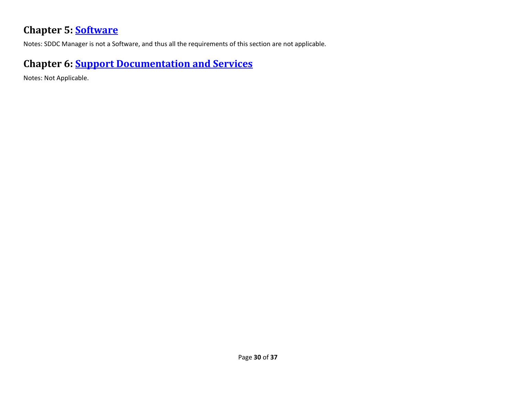#### **Chapter 5: [Software](https://www.access-board.gov/guidelines-and-standards/communications-and-it/about-the-ict-refresh/final-rule/text-of-the-standards-and-guidelines#501-general)**

Notes: SDDC Manager is not a Software, and thus all the requirements of this section are not applicable.

#### **Chapter 6: [Support Documentation and Services](https://www.access-board.gov/guidelines-and-standards/communications-and-it/about-the-ict-refresh/final-rule/text-of-the-standards-and-guidelines#601-general)**

Notes: Not Applicable.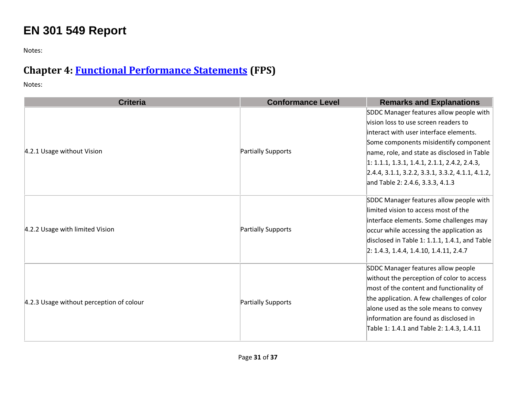# **EN 301 549 Report**

Notes:

# **Chapter 4: [Functional Performance Statements](https://www.etsi.org/deliver/etsi_en/301500_301599/301549/03.01.01_60/en_301549v030101p.pdf#%5B%7B%22num%22%3A38%2C%22gen%22%3A0%7D%2C%7B%22name%22%3A%22XYZ%22%7D%2C54%2C747%2C0%5D) (FPS)**

| <b>Criteria</b>                          | <b>Conformance Level</b> | <b>Remarks and Explanations</b>                                                                                                                                                                                                                                                                           |
|------------------------------------------|--------------------------|-----------------------------------------------------------------------------------------------------------------------------------------------------------------------------------------------------------------------------------------------------------------------------------------------------------|
|                                          |                          | SDDC Manager features allow people with<br>vision loss to use screen readers to                                                                                                                                                                                                                           |
|                                          |                          | linteract with user interface elements.                                                                                                                                                                                                                                                                   |
|                                          |                          | Some components misidentify component                                                                                                                                                                                                                                                                     |
| 4.2.1 Usage without Vision               | Partially Supports       | name, role, and state as disclosed in Table                                                                                                                                                                                                                                                               |
|                                          |                          | $1: 1.1.1, 1.3.1, 1.4.1, 2.1.1, 2.4.2, 2.4.3,$                                                                                                                                                                                                                                                            |
|                                          |                          | 2.4.4, 3.1.1, 3.2.2, 3.3.1, 3.3.2, 4.1.1, 4.1.2,                                                                                                                                                                                                                                                          |
|                                          |                          | and Table 2: 2.4.6, 3.3.3, 4.1.3                                                                                                                                                                                                                                                                          |
| 4.2.2 Usage with limited Vision          | Partially Supports       | SDDC Manager features allow people with<br>limited vision to access most of the<br>interface elements. Some challenges may<br>occur while accessing the application as<br>disclosed in Table 1: 1.1.1, 1.4.1, and Table<br>$2: 1.4.3, 1.4.4, 1.4.10, 1.4.11, 2.4.7$                                       |
| 4.2.3 Usage without perception of colour | Partially Supports       | SDDC Manager features allow people<br>without the perception of color to access<br>most of the content and functionality of<br>the application. A few challenges of color<br>alone used as the sole means to convey<br>information are found as disclosed in<br>Table 1: 1.4.1 and Table 2: 1.4.3, 1.4.11 |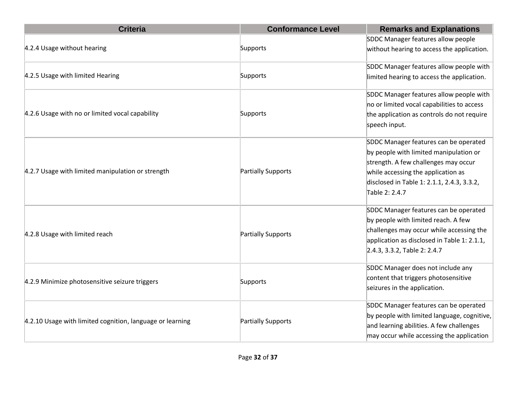| <b>Criteria</b>                                           | <b>Conformance Level</b> | <b>Remarks and Explanations</b>                                                                                                          |
|-----------------------------------------------------------|--------------------------|------------------------------------------------------------------------------------------------------------------------------------------|
| 4.2.4 Usage without hearing                               |                          | SDDC Manager features allow people                                                                                                       |
|                                                           | Supports                 | without hearing to access the application.                                                                                               |
|                                                           |                          | SDDC Manager features allow people with                                                                                                  |
| 4.2.5 Usage with limited Hearing                          | Supports                 | limited hearing to access the application.                                                                                               |
|                                                           |                          | SDDC Manager features allow people with                                                                                                  |
|                                                           |                          | no or limited vocal capabilities to access                                                                                               |
| 4.2.6 Usage with no or limited vocal capability           | Supports                 | the application as controls do not require                                                                                               |
|                                                           |                          | speech input.<br>SDDC Manager features can be operated<br>by people with limited manipulation or<br>strength. A few challenges may occur |
|                                                           |                          |                                                                                                                                          |
|                                                           |                          |                                                                                                                                          |
|                                                           |                          |                                                                                                                                          |
| 4.2.7 Usage with limited manipulation or strength         | Partially Supports       | while accessing the application as                                                                                                       |
|                                                           |                          | disclosed in Table 1: 2.1.1, 2.4.3, 3.3.2,                                                                                               |
|                                                           |                          | Table 2: 2.4.7                                                                                                                           |
|                                                           |                          | SDDC Manager features can be operated                                                                                                    |
|                                                           |                          | by people with limited reach. A few                                                                                                      |
| 4.2.8 Usage with limited reach                            | Partially Supports       | challenges may occur while accessing the                                                                                                 |
|                                                           |                          | application as disclosed in Table 1: 2.1.1,                                                                                              |
|                                                           |                          | 2.4.3, 3.3.2, Table 2: 2.4.7                                                                                                             |
| 4.2.9 Minimize photosensitive seizure triggers            |                          | SDDC Manager does not include any                                                                                                        |
|                                                           | Supports                 | content that triggers photosensitive                                                                                                     |
|                                                           |                          | seizures in the application.                                                                                                             |
| 4.2.10 Usage with limited cognition, language or learning |                          | SDDC Manager features can be operated                                                                                                    |
|                                                           | Partially Supports       | by people with limited language, cognitive,                                                                                              |
|                                                           |                          | and learning abilities. A few challenges                                                                                                 |
|                                                           |                          | may occur while accessing the application                                                                                                |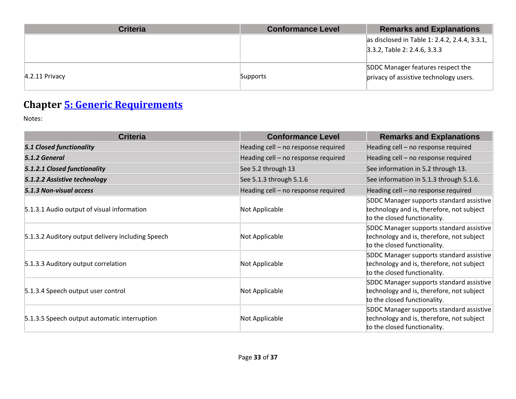| <b>Criteria</b>  | <b>Conformance Level</b> | <b>Remarks and Explanations</b>                                             |
|------------------|--------------------------|-----------------------------------------------------------------------------|
|                  |                          | as disclosed in Table 1: 2.4.2, 2.4.4, 3.3.1,                               |
|                  |                          | $3.3.2$ , Table 2: 2.4.6, 3.3.3                                             |
| $4.2.11$ Privacy | Supports                 | SDDC Manager features respect the<br>privacy of assistive technology users. |

# **Chapter [5: Generic Requirements](https://www.etsi.org/deliver/etsi_en/301500_301599/301549/03.01.01_60/en_301549v030101p.pdf#%5B%7B%22num%22%3A45%2C%22gen%22%3A0%7D%2C%7B%22name%22%3A%22XYZ%22%7D%2C54%2C747%2C0%5D)**

| <b>Criteria</b>                                   | <b>Conformance Level</b>            | <b>Remarks and Explanations</b>                                                                                       |
|---------------------------------------------------|-------------------------------------|-----------------------------------------------------------------------------------------------------------------------|
| <b>5.1 Closed functionality</b>                   | Heading cell - no response required | Heading cell - no response required                                                                                   |
| 5.1.2 General                                     | Heading cell - no response required | Heading cell - no response required                                                                                   |
| 5.1.2.1 Closed functionality                      | See 5.2 through 13                  | See information in 5.2 through 13.                                                                                    |
| 5.1.2.2 Assistive technology                      | See 5.1.3 through 5.1.6             | See information in 5.1.3 through 5.1.6.                                                                               |
| 5.1.3 Non-visual access                           | Heading cell - no response required | Heading cell - no response required                                                                                   |
| 5.1.3.1 Audio output of visual information        | Not Applicable                      | SDDC Manager supports standard assistive<br>technology and is, therefore, not subject<br>to the closed functionality. |
| 5.1.3.2 Auditory output delivery including Speech | Not Applicable                      | SDDC Manager supports standard assistive<br>technology and is, therefore, not subject<br>to the closed functionality. |
| 5.1.3.3 Auditory output correlation               | Not Applicable                      | SDDC Manager supports standard assistive<br>technology and is, therefore, not subject<br>to the closed functionality. |
| 5.1.3.4 Speech output user control                | Not Applicable                      | SDDC Manager supports standard assistive<br>technology and is, therefore, not subject<br>to the closed functionality. |
| 5.1.3.5 Speech output automatic interruption      | Not Applicable                      | SDDC Manager supports standard assistive<br>technology and is, therefore, not subject<br>to the closed functionality. |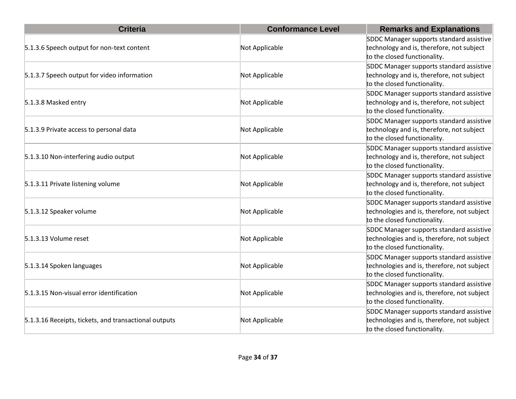| <b>Criteria</b>                                       | <b>Conformance Level</b> | <b>Remarks and Explanations</b>                                                                                         |
|-------------------------------------------------------|--------------------------|-------------------------------------------------------------------------------------------------------------------------|
| 5.1.3.6 Speech output for non-text content            | Not Applicable           | SDDC Manager supports standard assistive<br>technology and is, therefore, not subject<br>to the closed functionality.   |
| 5.1.3.7 Speech output for video information           | Not Applicable           | SDDC Manager supports standard assistive<br>technology and is, therefore, not subject<br>to the closed functionality.   |
| 5.1.3.8 Masked entry                                  | Not Applicable           | SDDC Manager supports standard assistive<br>technology and is, therefore, not subject<br>to the closed functionality.   |
| 5.1.3.9 Private access to personal data               | Not Applicable           | SDDC Manager supports standard assistive<br>technology and is, therefore, not subject<br>to the closed functionality.   |
| 5.1.3.10 Non-interfering audio output                 | Not Applicable           | SDDC Manager supports standard assistive<br>technology and is, therefore, not subject<br>to the closed functionality.   |
| 5.1.3.11 Private listening volume                     | Not Applicable           | SDDC Manager supports standard assistive<br>technology and is, therefore, not subject<br>to the closed functionality.   |
| 5.1.3.12 Speaker volume                               | Not Applicable           | SDDC Manager supports standard assistive<br>technologies and is, therefore, not subject<br>to the closed functionality. |
| 5.1.3.13 Volume reset                                 | Not Applicable           | SDDC Manager supports standard assistive<br>technologies and is, therefore, not subject<br>to the closed functionality. |
| 5.1.3.14 Spoken languages                             | Not Applicable           | SDDC Manager supports standard assistive<br>technologies and is, therefore, not subject<br>to the closed functionality. |
| 5.1.3.15 Non-visual error identification              | Not Applicable           | SDDC Manager supports standard assistive<br>technologies and is, therefore, not subject<br>to the closed functionality. |
| 5.1.3.16 Receipts, tickets, and transactional outputs | Not Applicable           | SDDC Manager supports standard assistive<br>technologies and is, therefore, not subject<br>to the closed functionality. |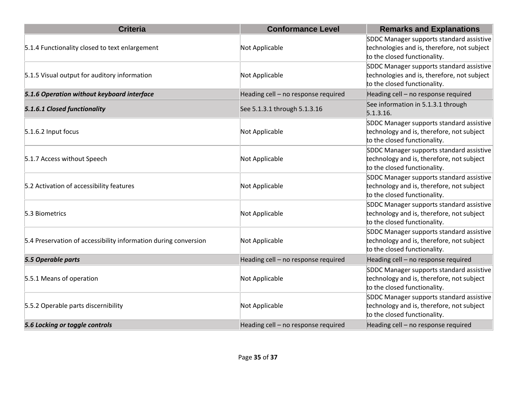| <b>Criteria</b>                                                 | <b>Conformance Level</b>            | <b>Remarks and Explanations</b>                                                                                         |
|-----------------------------------------------------------------|-------------------------------------|-------------------------------------------------------------------------------------------------------------------------|
| 5.1.4 Functionality closed to text enlargement                  | Not Applicable                      | SDDC Manager supports standard assistive<br>technologies and is, therefore, not subject<br>to the closed functionality. |
| 5.1.5 Visual output for auditory information                    | Not Applicable                      | SDDC Manager supports standard assistive<br>technologies and is, therefore, not subject<br>to the closed functionality. |
| 5.1.6 Operation without keyboard interface                      | Heading cell - no response required | Heading cell - no response required                                                                                     |
| 5.1.6.1 Closed functionality                                    | See 5.1.3.1 through 5.1.3.16        | See information in 5.1.3.1 through<br>5.1.3.16.                                                                         |
| $5.1.6.2$ Input focus                                           | Not Applicable                      | SDDC Manager supports standard assistive<br>technology and is, therefore, not subject<br>to the closed functionality.   |
| 5.1.7 Access without Speech                                     | Not Applicable                      | SDDC Manager supports standard assistive<br>technology and is, therefore, not subject<br>to the closed functionality.   |
| 5.2 Activation of accessibility features                        | Not Applicable                      | SDDC Manager supports standard assistive<br>technology and is, therefore, not subject<br>to the closed functionality.   |
| 5.3 Biometrics                                                  | Not Applicable                      | SDDC Manager supports standard assistive<br>technology and is, therefore, not subject<br>to the closed functionality.   |
| 5.4 Preservation of accessibility information during conversion | Not Applicable                      | SDDC Manager supports standard assistive<br>technology and is, therefore, not subject<br>to the closed functionality.   |
| 5.5 Operable parts                                              | Heading cell - no response required | Heading cell - no response required                                                                                     |
| 5.5.1 Means of operation                                        | Not Applicable                      | SDDC Manager supports standard assistive<br>technology and is, therefore, not subject<br>to the closed functionality.   |
| 5.5.2 Operable parts discernibility                             | Not Applicable                      | SDDC Manager supports standard assistive<br>technology and is, therefore, not subject<br>to the closed functionality.   |
| 5.6 Locking or toggle controls                                  | Heading cell - no response required | Heading cell - no response required                                                                                     |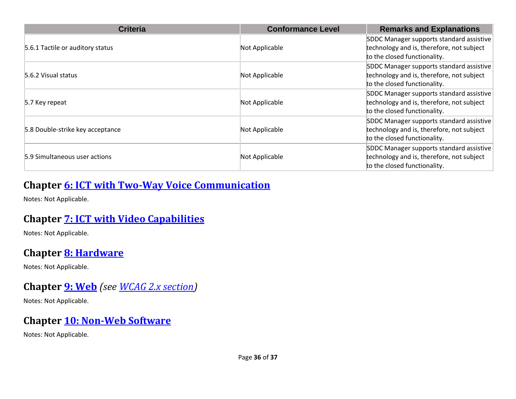| <b>Criteria</b>                  | <b>Conformance Level</b> | <b>Remarks and Explanations</b>           |
|----------------------------------|--------------------------|-------------------------------------------|
| 5.6.1 Tactile or auditory status |                          | SDDC Manager supports standard assistive  |
|                                  | Not Applicable           | technology and is, therefore, not subject |
|                                  |                          | to the closed functionality.              |
| 5.6.2 Visual status              |                          | SDDC Manager supports standard assistive  |
|                                  | Not Applicable           | technology and is, therefore, not subject |
|                                  |                          | to the closed functionality.              |
| 5.7 Key repeat                   |                          | SDDC Manager supports standard assistive  |
|                                  | Not Applicable           | technology and is, therefore, not subject |
|                                  |                          | to the closed functionality.              |
| 5.8 Double-strike key acceptance |                          | SDDC Manager supports standard assistive  |
|                                  | Not Applicable           | technology and is, therefore, not subject |
|                                  |                          | to the closed functionality.              |
| 5.9 Simultaneous user actions    |                          | SDDC Manager supports standard assistive  |
|                                  | Not Applicable           | technology and is, therefore, not subject |
|                                  |                          | to the closed functionality.              |

#### **Chapter [6: ICT with Two-Way Voice Communication](https://www.etsi.org/deliver/etsi_en/301500_301599/301549/03.01.01_60/en_301549v030101p.pdf#%5B%7B%22num%22%3A60%2C%22gen%22%3A0%7D%2C%7B%22name%22%3A%22XYZ%22%7D%2C54%2C747%2C0%5D)**

Notes: Not Applicable.

#### **Chapter [7: ICT with Video Capabilities](https://www.etsi.org/deliver/etsi_en/301500_301599/301549/03.01.01_60/en_301549v030101p.pdf#%5B%7B%22num%22%3A70%2C%22gen%22%3A0%7D%2C%7B%22name%22%3A%22XYZ%22%7D%2C54%2C747%2C0%5D)**

Notes: Not Applicable.

#### **Chapter [8: Hardware](https://www.etsi.org/deliver/etsi_en/301500_301599/301549/03.01.01_60/en_301549v030101p.pdf#%5B%7B%22num%22%3A74%2C%22gen%22%3A0%7D%2C%7B%22name%22%3A%22XYZ%22%7D%2C54%2C747%2C0%5D)**

Notes: Not Applicable.

#### **Chapter [9: Web](https://www.etsi.org/deliver/etsi_en/301500_301599/301549/03.01.01_60/en_301549v030101p.pdf#%5B%7B%22num%22%3A113%2C%22gen%22%3A0%7D%2C%7B%22name%22%3A%22XYZ%22%7D%2C54%2C747%2C0%5D)** *(see [WCAG 2.x](#page-2-0) section)*

Notes: Not Applicable.

#### **Chapter [10: Non-Web Software](https://www.etsi.org/deliver/etsi_en/301500_301599/301549/03.01.01_60/en_301549v030101p.pdf#%5B%7B%22num%22%3A127%2C%22gen%22%3A0%7D%2C%7B%22name%22%3A%22XYZ%22%7D%2C54%2C747%2C0%5D)**

Notes: Not Applicable.